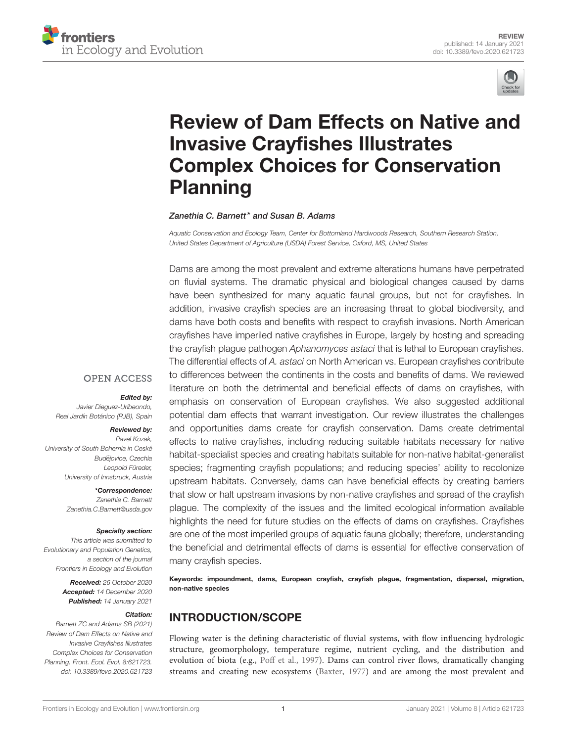



# [Review of Dam Effects on Native and](https://www.frontiersin.org/articles/10.3389/fevo.2020.621723/full) Invasive Crayfishes Illustrates Complex Choices for Conservation Planning

Zanethia C. Barnett\* and Susan B. Adams

Aquatic Conservation and Ecology Team, Center for Bottomland Hardwoods Research, Southern Research Station, United States Department of Agriculture (USDA) Forest Service, Oxford, MS, United States

Dams are among the most prevalent and extreme alterations humans have perpetrated on fluvial systems. The dramatic physical and biological changes caused by dams have been synthesized for many aquatic faunal groups, but not for crayfishes. In addition, invasive crayfish species are an increasing threat to global biodiversity, and dams have both costs and benefits with respect to crayfish invasions. North American crayfishes have imperiled native crayfishes in Europe, largely by hosting and spreading the crayfish plague pathogen Aphanomyces astaci that is lethal to European crayfishes. The differential effects of A. astaci on North American vs. European crayfishes contribute to differences between the continents in the costs and benefits of dams. We reviewed literature on both the detrimental and beneficial effects of dams on crayfishes, with emphasis on conservation of European crayfishes. We also suggested additional potential dam effects that warrant investigation. Our review illustrates the challenges and opportunities dams create for crayfish conservation. Dams create detrimental effects to native crayfishes, including reducing suitable habitats necessary for native habitat-specialist species and creating habitats suitable for non-native habitat-generalist species; fragmenting crayfish populations; and reducing species' ability to recolonize upstream habitats. Conversely, dams can have beneficial effects by creating barriers that slow or halt upstream invasions by non-native crayfishes and spread of the crayfish plague. The complexity of the issues and the limited ecological information available highlights the need for future studies on the effects of dams on crayfishes. Crayfishes are one of the most imperiled groups of aquatic fauna globally; therefore, understanding the beneficial and detrimental effects of dams is essential for effective conservation of many crayfish species.

Keywords: impoundment, dams, European crayfish, crayfish plague, fragmentation, dispersal, migration, non-native species

# INTRODUCTION/SCOPE

Flowing water is the defining characteristic of fluvial systems, with flow influencing hydrologic structure, geomorphology, temperature regime, nutrient cycling, and the distribution and evolution of biota (e.g., [Poff et al., 1997\)](#page-13-0). Dams can control river flows, dramatically changing streams and creating new ecosystems [\(Baxter, 1977\)](#page-10-0) and are among the most prevalent and

#### **OPEN ACCESS**

#### Edited by:

Javier Dieguez-Uribeondo, Real Jardín Botánico (RJB), Spain

#### Reviewed by:

Pavel Kozak, University of South Bohemia in Ceské Budějovice, Czechia Leopold Füreder, University of Innsbruck, Austria

> \*Correspondence: Zanethia C. Barnett [Zanethia.C.Barnett@usda.gov](mailto:Zanethia.C.Barnett@usda.gov)

#### Specialty section:

This article was submitted to Evolutionary and Population Genetics, a section of the journal Frontiers in Ecology and Evolution

> Received: 26 October 2020 Accepted: 14 December 2020 Published: 14 January 2021

#### Citation:

Barnett ZC and Adams SB (2021) Review of Dam Effects on Native and Invasive Crayfishes Illustrates Complex Choices for Conservation Planning. Front. Ecol. Evol. 8:621723. doi: [10.3389/fevo.2020.621723](https://doi.org/10.3389/fevo.2020.621723)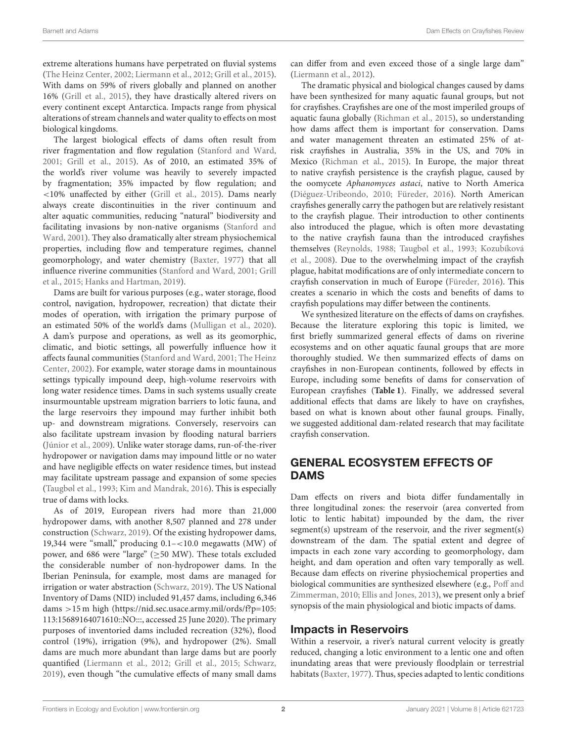extreme alterations humans have perpetrated on fluvial systems [\(The Heinz Center, 2002;](#page-14-0) [Liermann et al., 2012;](#page-12-0) [Grill et al., 2015\)](#page-11-0). With dams on 59% of rivers globally and planned on another 16% [\(Grill et al., 2015\)](#page-11-0), they have drastically altered rivers on every continent except Antarctica. Impacts range from physical alterations of stream channels and water quality to effects on most biological kingdoms.

The largest biological effects of dams often result from river fragmentation and flow regulation [\(Stanford and Ward,](#page-13-1) [2001;](#page-13-1) [Grill et al., 2015\)](#page-11-0). As of 2010, an estimated 35% of the world's river volume was heavily to severely impacted by fragmentation; 35% impacted by flow regulation; and <10% unaffected by either [\(Grill et al., 2015\)](#page-11-0). Dams nearly always create discontinuities in the river continuum and alter aquatic communities, reducing "natural" biodiversity and facilitating invasions by non-native organisms (Stanford and Ward, [2001\)](#page-13-1). They also dramatically alter stream physiochemical properties, including flow and temperature regimes, channel geomorphology, and water chemistry [\(Baxter, 1977\)](#page-10-0) that all influence riverine communities [\(Stanford and Ward, 2001;](#page-13-1) Grill et al., [2015;](#page-11-0) [Hanks and Hartman, 2019\)](#page-11-1).

Dams are built for various purposes (e.g., water storage, flood control, navigation, hydropower, recreation) that dictate their modes of operation, with irrigation the primary purpose of an estimated 50% of the world's dams [\(Mulligan et al., 2020\)](#page-12-1). A dam's purpose and operations, as well as its geomorphic, climatic, and biotic settings, all powerfully influence how it affects faunal communities [\(Stanford and Ward, 2001;](#page-13-1) The Heinz Center, [2002\)](#page-14-0). For example, water storage dams in mountainous settings typically impound deep, high-volume reservoirs with long water residence times. Dams in such systems usually create insurmountable upstream migration barriers to lotic fauna, and the large reservoirs they impound may further inhibit both up- and downstream migrations. Conversely, reservoirs can also facilitate upstream invasion by flooding natural barriers [\(Júnior et al., 2009\)](#page-11-2). Unlike water storage dams, run-of-the-river hydropower or navigation dams may impound little or no water and have negligible effects on water residence times, but instead may facilitate upstream passage and expansion of some species [\(Taugbøl et al., 1993;](#page-14-1) [Kim and Mandrak, 2016\)](#page-12-2). This is especially true of dams with locks.

As of 2019, European rivers had more than 21,000 hydropower dams, with another 8,507 planned and 278 under construction [\(Schwarz, 2019\)](#page-13-2). Of the existing hydropower dams, 19,344 were "small," producing 0.1–<10.0 megawatts (MW) of power, and 686 were "large" (≥50 MW). These totals excluded the considerable number of non-hydropower dams. In the Iberian Peninsula, for example, most dams are managed for irrigation or water abstraction [\(Schwarz, 2019\)](#page-13-2). The US National Inventory of Dams (NID) included 91,457 dams, including 6,346 dams >15 m high [\(https://nid.sec.usace.army.mil/ords/f?p=105:](https://nid.sec.usace.army.mil/ords/f?p=105:113:15689164071610::NO:::) [113:15689164071610::NO:::,](https://nid.sec.usace.army.mil/ords/f?p=105:113:15689164071610::NO:::) accessed 25 June 2020). The primary purposes of inventoried dams included recreation (32%), flood control (19%), irrigation (9%), and hydropower (2%). Small dams are much more abundant than large dams but are poorly quantified [\(Liermann et al., 2012;](#page-12-0) [Grill et al., 2015;](#page-11-0) [Schwarz,](#page-13-2) [2019\)](#page-13-2), even though "the cumulative effects of many small dams can differ from and even exceed those of a single large dam" [\(Liermann et al., 2012\)](#page-12-0).

The dramatic physical and biological changes caused by dams have been synthesized for many aquatic faunal groups, but not for crayfishes. Crayfishes are one of the most imperiled groups of aquatic fauna globally [\(Richman et al., 2015\)](#page-13-3), so understanding how dams affect them is important for conservation. Dams and water management threaten an estimated 25% of atrisk crayfishes in Australia, 35% in the US, and 70% in Mexico [\(Richman et al., 2015\)](#page-13-3). In Europe, the major threat to native crayfish persistence is the crayfish plague, caused by the oomycete Aphanomyces astaci, native to North America [\(Diéguez-Uribeondo, 2010;](#page-10-1) [Füreder, 2016\)](#page-11-3). North American crayfishes generally carry the pathogen but are relatively resistant to the crayfish plague. Their introduction to other continents also introduced the plague, which is often more devastating to the native crayfish fauna than the introduced crayfishes themselves [\(Reynolds, 1988;](#page-13-4) [Taugbøl et al., 1993;](#page-14-1) Kozubíková et al., [2008\)](#page-12-3). Due to the overwhelming impact of the crayfish plague, habitat modifications are of only intermediate concern to crayfish conservation in much of Europe [\(Füreder, 2016\)](#page-11-3). This creates a scenario in which the costs and benefits of dams to crayfish populations may differ between the continents.

We synthesized literature on the effects of dams on crayfishes. Because the literature exploring this topic is limited, we first briefly summarized general effects of dams on riverine ecosystems and on other aquatic faunal groups that are more thoroughly studied. We then summarized effects of dams on crayfishes in non-European continents, followed by effects in Europe, including some benefits of dams for conservation of European crayfishes (**[Table 1](#page-2-0)**). Finally, we addressed several additional effects that dams are likely to have on crayfishes, based on what is known about other faunal groups. Finally, we suggested additional dam-related research that may facilitate crayfish conservation.

# GENERAL ECOSYSTEM EFFECTS OF **DAMS**

Dam effects on rivers and biota differ fundamentally in three longitudinal zones: the reservoir (area converted from lotic to lentic habitat) impounded by the dam, the river segment(s) upstream of the reservoir, and the river segment(s) downstream of the dam. The spatial extent and degree of impacts in each zone vary according to geomorphology, dam height, and dam operation and often vary temporally as well. Because dam effects on riverine physiochemical properties and biological communities are synthesized elsewhere (e.g., Poff and Zimmerman, [2010;](#page-13-5) [Ellis and Jones, 2013\)](#page-11-4), we present only a brief synopsis of the main physiological and biotic impacts of dams.

#### Impacts in Reservoirs

Within a reservoir, a river's natural current velocity is greatly reduced, changing a lotic environment to a lentic one and often inundating areas that were previously floodplain or terrestrial habitats [\(Baxter, 1977\)](#page-10-0). Thus, species adapted to lentic conditions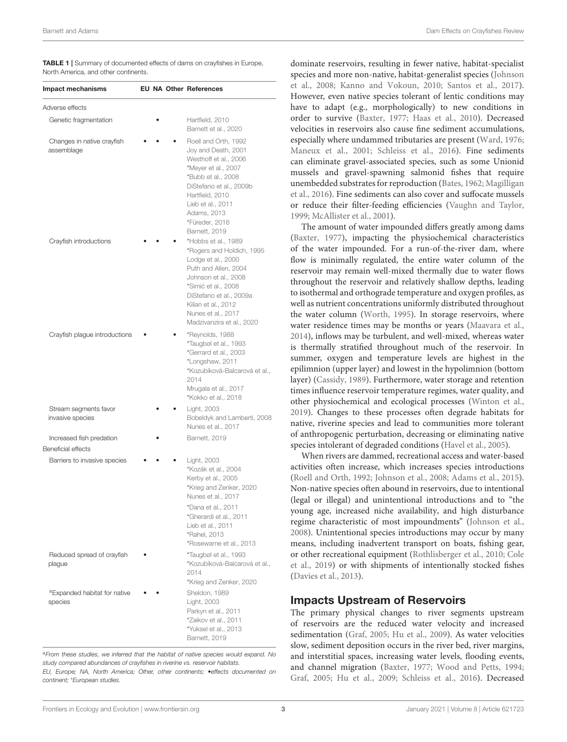<span id="page-2-0"></span>TABLE 1 | Summary of documented effects of dams on crayfishes in Europe, North America, and other continents.

| <b>Impact mechanisms</b>                              |  | <b>EU NA Other References</b>                                                                                                                                                                                                                      |
|-------------------------------------------------------|--|----------------------------------------------------------------------------------------------------------------------------------------------------------------------------------------------------------------------------------------------------|
| Adverse effects                                       |  |                                                                                                                                                                                                                                                    |
| Genetic fragmentation                                 |  | Hartfield, 2010<br>Barnett et al., 2020                                                                                                                                                                                                            |
| Changes in native crayfish<br>assemblage              |  | Roell and Orth, 1992<br>Joy and Death, 2001<br>Westhoff et al., 2006<br>*Meyer et al., 2007<br>*Bubb et al., 2008<br>DiStefano et al., 2009b<br>Hartfield, 2010<br>Lieb et al., 2011<br>Adams, 2013<br>*Füreder, 2016<br>Barnett, 2019             |
| Crayfish introductions                                |  | *Hobbs et al., 1989<br>*Rogers and Holdich, 1995<br>Lodge et al., 2000<br>Puth and Allen, 2004<br>Johnson et al., 2008<br>*Simić et al., 2008<br>DiStefano et al., 2009a<br>Kilian et al., 2012<br>Nunes et al., 2017<br>Madzivanzira et al., 2020 |
| Crayfish plague introductions                         |  | *Reynolds, 1988<br>*Taugbøl et al., 1993<br>*Gerrard et al., 2003<br>*Longshaw, 2011<br>*Kozubíková-Balcarová et al.,<br>2014<br>Mrugala et al., 2017<br>*Kokko et al., 2018                                                                       |
| Stream segments favor<br>invasive species             |  | Light, 2003<br>Bobeldyk and Lamberti, 2008<br>Nunes et al., 2017                                                                                                                                                                                   |
| Increased fish predation<br><b>Beneficial effects</b> |  | Barnett, 2019                                                                                                                                                                                                                                      |
| Barriers to invasive species                          |  | Light, 2003<br>*Kozák et al., 2004<br>Kerby et al., 2005<br>*Krieg and Zenker, 2020<br>Nunes et al., 2017<br>*Dana et al., 2011<br>*Gherardi et al., 2011<br>Lieb et al., 2011<br>*Rahel, 2013<br>*Rosewarne et al., 2013                          |
| Reduced spread of crayfish<br>plague                  |  | *Taugbøl et al., 1993<br>*Kozubíková-Balcarová et al.,<br>2014<br>*Krieg and Zenker, 2020                                                                                                                                                          |
| <sup>a</sup> Expanded habitat for native<br>species   |  | Sheldon, 1989<br>Light, 2003<br>Parkyn et al., 2011<br>*Zaikov et al., 2011<br>*Yuksel et al., 2013<br>Barnett, 2019                                                                                                                               |

aFrom these studies, we inferred that the habitat of native species would expand. No study compared abundances of crayfishes in riverine vs. reservoir habitats. EU, Europe; NA, North America; Other, other continents; •effects documented on continent; \*European studies.

dominate reservoirs, resulting in fewer native, habitat-specialist species and more non-native, habitat-generalist species (Johnson et al., [2008;](#page-11-9) [Kanno and Vokoun, 2010;](#page-11-13) [Santos et al., 2017\)](#page-13-14). However, even native species tolerant of lentic conditions may have to adapt (e.g., morphologically) to new conditions in order to survive [\(Baxter, 1977;](#page-10-0) [Haas et al., 2010\)](#page-11-14). Decreased velocities in reservoirs also cause fine sediment accumulations, especially where undammed tributaries are present [\(Ward, 1976;](#page-14-5) [Maneux et al., 2001;](#page-12-17) [Schleiss et al., 2016\)](#page-13-15). Fine sediments can eliminate gravel-associated species, such as some Unionid mussels and gravel-spawning salmonid fishes that require unembedded substrates for reproduction [\(Bates, 1962;](#page-10-9) Magilligan et al., [2016\)](#page-12-18). Fine sediments can also cover and suffocate mussels or reduce their filter-feeding efficiencies [\(Vaughn and Taylor,](#page-14-6) [1999;](#page-14-6) [McAllister et al., 2001\)](#page-12-19).

The amount of water impounded differs greatly among dams [\(Baxter, 1977\)](#page-10-0), impacting the physiochemical characteristics of the water impounded. For a run-of-the-river dam, where flow is minimally regulated, the entire water column of the reservoir may remain well-mixed thermally due to water flows throughout the reservoir and relatively shallow depths, leading to isothermal and orthograde temperature and oxygen profiles, as well as nutrient concentrations uniformly distributed throughout the water column [\(Worth, 1995\)](#page-14-7). In storage reservoirs, where water residence times may be months or years [\(Maavara et al.,](#page-12-20) [2014\)](#page-12-20), inflows may be turbulent, and well-mixed, whereas water is thermally stratified throughout much of the reservoir. In summer, oxygen and temperature levels are highest in the epilimnion (upper layer) and lowest in the hypolimnion (bottom layer) [\(Cassidy, 1989\)](#page-10-10). Furthermore, water storage and retention times influence reservoir temperature regimes, water quality, and other physiochemical and ecological processes [\(Winton et al.,](#page-14-8) [2019\)](#page-14-8). Changes to these processes often degrade habitats for native, riverine species and lead to communities more tolerant of anthropogenic perturbation, decreasing or eliminating native species intolerant of degraded conditions [\(Havel et al., 2005\)](#page-11-15).

When rivers are dammed, recreational access and water-based activities often increase, which increases species introductions [\(Roell and Orth, 1992;](#page-13-6) [Johnson et al., 2008;](#page-11-9) [Adams et al., 2015\)](#page-10-11). Non-native species often abound in reservoirs, due to intentional (legal or illegal) and unintentional introductions and to "the young age, increased niche availability, and high disturbance regime characteristic of most impoundments" [\(Johnson et al.,](#page-11-9) [2008\)](#page-11-9). Unintentional species introductions may occur by many means, including inadvertent transport on boats, fishing gear, or other recreational equipment [\(Rothlisberger et al., 2010;](#page-13-16) Cole et al., [2019\)](#page-10-12) or with shipments of intentionally stocked fishes [\(Davies et al., 2013\)](#page-10-13).

#### Impacts Upstream of Reservoirs

The primary physical changes to river segments upstream of reservoirs are the reduced water velocity and increased sedimentation [\(Graf, 2005;](#page-11-16) [Hu et al., 2009\)](#page-11-17). As water velocities slow, sediment deposition occurs in the river bed, river margins, and interstitial spaces, increasing water levels, flooding events, and channel migration [\(Baxter, 1977;](#page-10-0) [Wood and Petts, 1994;](#page-14-9) [Graf, 2005;](#page-11-16) [Hu et al., 2009;](#page-11-17) [Schleiss et al., 2016\)](#page-13-15). Decreased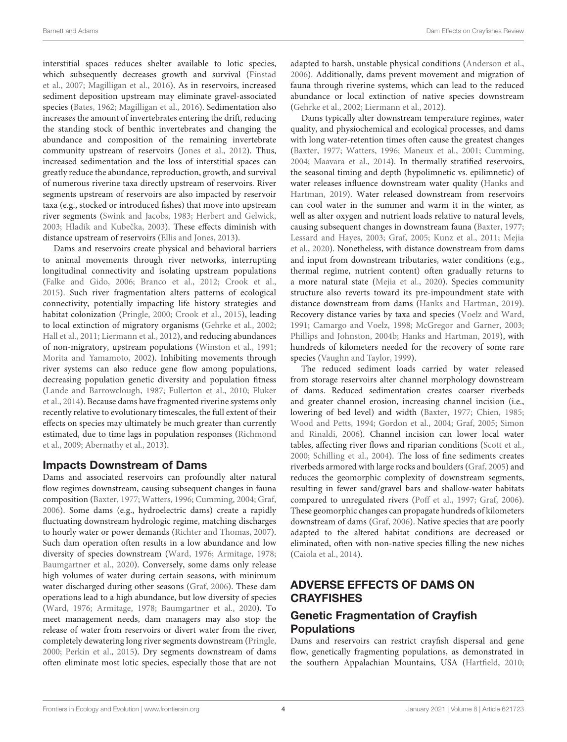interstitial spaces reduces shelter available to lotic species, which subsequently decreases growth and survival (Finstad et al., [2007;](#page-11-18) [Magilligan et al., 2016\)](#page-12-18). As in reservoirs, increased sediment deposition upstream may eliminate gravel-associated species [\(Bates, 1962;](#page-10-9) [Magilligan et al., 2016\)](#page-12-18). Sedimentation also increases the amount of invertebrates entering the drift, reducing the standing stock of benthic invertebrates and changing the abundance and composition of the remaining invertebrate community upstream of reservoirs [\(Jones et al., 2012\)](#page-11-19). Thus, increased sedimentation and the loss of interstitial spaces can greatly reduce the abundance, reproduction, growth, and survival of numerous riverine taxa directly upstream of reservoirs. River segments upstream of reservoirs are also impacted by reservoir taxa (e.g., stocked or introduced fishes) that move into upstream river segments [\(Swink and Jacobs, 1983;](#page-14-10) [Herbert and Gelwick,](#page-11-20) [2003;](#page-11-20) Hladík and Kubečka, 2003). These effects diminish with distance upstream of reservoirs [\(Ellis and Jones, 2013\)](#page-11-4).

Dams and reservoirs create physical and behavioral barriers to animal movements through river networks, interrupting longitudinal connectivity and isolating upstream populations [\(Falke and Gido, 2006;](#page-11-22) [Branco et al., 2012;](#page-10-14) [Crook et al.,](#page-10-15) [2015\)](#page-10-15). Such river fragmentation alters patterns of ecological connectivity, potentially impacting life history strategies and habitat colonization [\(Pringle, 2000;](#page-13-17) [Crook et al., 2015\)](#page-10-15), leading to local extinction of migratory organisms [\(Gehrke et al., 2002;](#page-11-23) [Hall et al., 2011;](#page-11-24) [Liermann et al., 2012\)](#page-12-0), and reducing abundances of non-migratory, upstream populations [\(Winston et al., 1991;](#page-14-11) [Morita and Yamamoto, 2002\)](#page-12-21). Inhibiting movements through river systems can also reduce gene flow among populations, decreasing population genetic diversity and population fitness [\(Lande and Barrowclough, 1987;](#page-12-22) [Fullerton et al., 2010;](#page-11-25) Fluker et al., [2014\)](#page-11-26). Because dams have fragmented riverine systems only recently relative to evolutionary timescales, the full extent of their effects on species may ultimately be much greater than currently estimated, due to time lags in population responses (Richmond et al., [2009;](#page-13-18) [Abernathy et al., 2013\)](#page-10-16).

#### Impacts Downstream of Dams

Dams and associated reservoirs can profoundly alter natural flow regimes downstream, causing subsequent changes in fauna composition [\(Baxter, 1977;](#page-10-0) [Watters, 1996;](#page-14-12) [Cumming, 2004;](#page-10-17) [Graf,](#page-11-27) [2006\)](#page-11-27). Some dams (e.g., hydroelectric dams) create a rapidly fluctuating downstream hydrologic regime, matching discharges to hourly water or power demands [\(Richter and Thomas, 2007\)](#page-13-19). Such dam operation often results in a low abundance and low diversity of species downstream [\(Ward, 1976;](#page-14-5) [Armitage, 1978;](#page-10-18) [Baumgartner et al., 2020\)](#page-10-19). Conversely, some dams only release high volumes of water during certain seasons, with minimum water discharged during other seasons [\(Graf, 2006\)](#page-11-27). These dam operations lead to a high abundance, but low diversity of species [\(Ward, 1976;](#page-14-5) [Armitage, 1978;](#page-10-18) [Baumgartner et al., 2020\)](#page-10-19). To meet management needs, dam managers may also stop the release of water from reservoirs or divert water from the river, completely dewatering long river segments downstream [\(Pringle,](#page-13-17) [2000;](#page-13-17) [Perkin et al., 2015\)](#page-13-20). Dry segments downstream of dams often eliminate most lotic species, especially those that are not adapted to harsh, unstable physical conditions [\(Anderson et al.,](#page-10-20) [2006\)](#page-10-20). Additionally, dams prevent movement and migration of fauna through riverine systems, which can lead to the reduced abundance or local extinction of native species downstream [\(Gehrke et al., 2002;](#page-11-23) [Liermann et al., 2012\)](#page-12-0).

Dams typically alter downstream temperature regimes, water quality, and physiochemical and ecological processes, and dams with long water-retention times often cause the greatest changes [\(Baxter, 1977;](#page-10-0) [Watters, 1996;](#page-14-12) [Maneux et al., 2001;](#page-12-17) [Cumming,](#page-10-17) [2004;](#page-10-17) [Maavara et al., 2014\)](#page-12-20). In thermally stratified reservoirs, the seasonal timing and depth (hypolimnetic vs. epilimnetic) of water releases influence downstream water quality (Hanks and Hartman, [2019\)](#page-11-1). Water released downstream from reservoirs can cool water in the summer and warm it in the winter, as well as alter oxygen and nutrient loads relative to natural levels, causing subsequent changes in downstream fauna [\(Baxter, 1977;](#page-10-0) [Lessard and Hayes, 2003;](#page-12-23) [Graf, 2005;](#page-11-16) [Kunz et al., 2011;](#page-12-24) Mejia et al., [2020\)](#page-12-25). Nonetheless, with distance downstream from dams and input from downstream tributaries, water conditions (e.g., thermal regime, nutrient content) often gradually returns to a more natural state [\(Mejia et al., 2020\)](#page-12-25). Species community structure also reverts toward its pre-impoundment state with distance downstream from dams [\(Hanks and Hartman, 2019\)](#page-11-1). Recovery distance varies by taxa and species [\(Voelz and Ward,](#page-14-13) [1991;](#page-14-13) [Camargo and Voelz, 1998;](#page-10-21) [McGregor and Garner, 2003;](#page-12-26) [Phillips and Johnston, 2004b;](#page-13-21) [Hanks and Hartman, 2019\)](#page-11-1), with hundreds of kilometers needed for the recovery of some rare species [\(Vaughn and Taylor, 1999\)](#page-14-6).

The reduced sediment loads carried by water released from storage reservoirs alter channel morphology downstream of dams. Reduced sedimentation creates coarser riverbeds and greater channel erosion, increasing channel incision (i.e., lowering of bed level) and width [\(Baxter, 1977;](#page-10-0) [Chien, 1985;](#page-10-22) [Wood and Petts, 1994;](#page-14-9) [Gordon et al., 2004;](#page-11-28) [Graf, 2005;](#page-11-16) Simon and Rinaldi, [2006\)](#page-13-22). Channel incision can lower local water tables, affecting river flows and riparian conditions [\(Scott et al.,](#page-13-23) [2000;](#page-13-23) [Schilling et al., 2004\)](#page-13-24). The loss of fine sediments creates riverbeds armored with large rocks and boulders [\(Graf, 2005\)](#page-11-16) and reduces the geomorphic complexity of downstream segments, resulting in fewer sand/gravel bars and shallow-water habitats compared to unregulated rivers [\(Poff et al., 1997;](#page-13-0) [Graf, 2006\)](#page-11-27). These geomorphic changes can propagate hundreds of kilometers downstream of dams [\(Graf, 2006\)](#page-11-27). Native species that are poorly adapted to the altered habitat conditions are decreased or eliminated, often with non-native species filling the new niches [\(Caiola et al., 2014\)](#page-10-23).

# ADVERSE EFFECTS OF DAMS ON **CRAYFISHES**

# Genetic Fragmentation of Crayfish Populations

Dams and reservoirs can restrict crayfish dispersal and gene flow, genetically fragmenting populations, as demonstrated in the southern Appalachian Mountains, USA [\(Hartfield, 2010;](#page-11-5)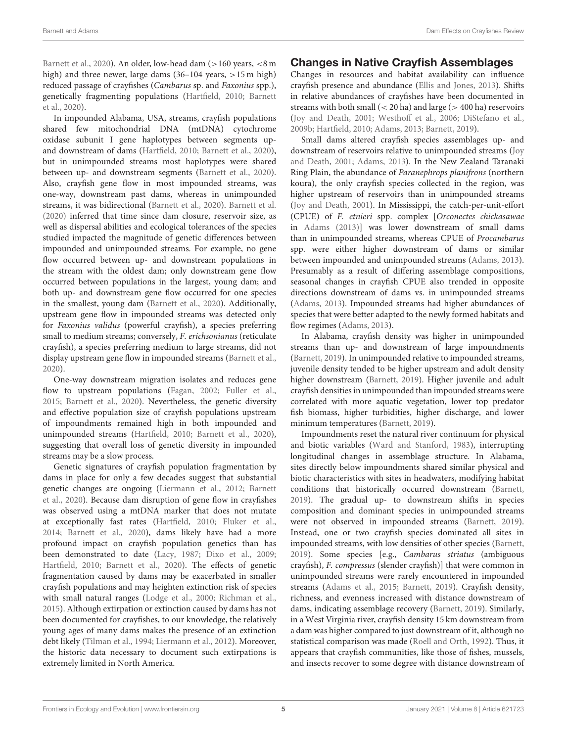[Barnett et al., 2020\)](#page-10-2). An older, low-head dam (>160 years, <8 m high) and three newer, large dams (36–104 years, >15 m high) reduced passage of crayfishes (Cambarus sp. and Faxonius spp.), genetically fragmenting populations [\(Hartfield, 2010;](#page-11-5) Barnett et al., [2020\)](#page-10-2).

In impounded Alabama, USA, streams, crayfish populations shared few mitochondrial DNA (mtDNA) cytochrome oxidase subunit I gene haplotypes between segments upand downstream of dams [\(Hartfield, 2010;](#page-11-5) [Barnett et al., 2020\)](#page-10-2), but in unimpounded streams most haplotypes were shared between up- and downstream segments [\(Barnett et al., 2020\)](#page-10-2). Also, crayfish gene flow in most impounded streams, was one-way, downstream past dams, whereas in unimpounded streams, it was bidirectional [\(Barnett et al., 2020\)](#page-10-2). [Barnett et al.](#page-10-2) [\(2020\)](#page-10-2) inferred that time since dam closure, reservoir size, as well as dispersal abilities and ecological tolerances of the species studied impacted the magnitude of genetic differences between impounded and unimpounded streams. For example, no gene flow occurred between up- and downstream populations in the stream with the oldest dam; only downstream gene flow occurred between populations in the largest, young dam; and both up- and downstream gene flow occurred for one species in the smallest, young dam [\(Barnett et al., 2020\)](#page-10-2). Additionally, upstream gene flow in impounded streams was detected only for Faxonius validus (powerful crayfish), a species preferring small to medium streams; conversely, F. erichsonianus (reticulate crayfish), a species preferring medium to large streams, did not display upstream gene flow in impounded streams [\(Barnett et al.,](#page-10-2) [2020\)](#page-10-2).

One-way downstream migration isolates and reduces gene flow to upstream populations [\(Fagan, 2002;](#page-11-29) [Fuller et al.,](#page-11-30) [2015;](#page-11-30) [Barnett et al., 2020\)](#page-10-2). Nevertheless, the genetic diversity and effective population size of crayfish populations upstream of impoundments remained high in both impounded and unimpounded streams [\(Hartfield, 2010;](#page-11-5) [Barnett et al., 2020\)](#page-10-2), suggesting that overall loss of genetic diversity in impounded streams may be a slow process.

Genetic signatures of crayfish population fragmentation by dams in place for only a few decades suggest that substantial genetic changes are ongoing [\(Liermann et al., 2012;](#page-12-0) Barnett et al., [2020\)](#page-10-2). Because dam disruption of gene flow in crayfishes was observed using a mtDNA marker that does not mutate at exceptionally fast rates [\(Hartfield, 2010;](#page-11-5) [Fluker et al.,](#page-11-26) [2014;](#page-11-26) [Barnett et al., 2020\)](#page-10-2), dams likely have had a more profound impact on crayfish population genetics than has been demonstrated to date [\(Lacy, 1987;](#page-12-27) [Dixo et al., 2009;](#page-11-31) [Hartfield, 2010;](#page-11-5) [Barnett et al., 2020\)](#page-10-2). The effects of genetic fragmentation caused by dams may be exacerbated in smaller crayfish populations and may heighten extinction risk of species with small natural ranges [\(Lodge et al., 2000;](#page-12-6) [Richman et al.,](#page-13-3) [2015\)](#page-13-3). Although extirpation or extinction caused by dams has not been documented for crayfishes, to our knowledge, the relatively young ages of many dams makes the presence of an extinction debt likely [\(Tilman et al., 1994;](#page-14-14) [Liermann et al., 2012\)](#page-12-0). Moreover, the historic data necessary to document such extirpations is extremely limited in North America.

#### Changes in Native Crayfish Assemblages

Changes in resources and habitat availability can influence crayfish presence and abundance [\(Ellis and Jones, 2013\)](#page-11-4). Shifts in relative abundances of crayfishes have been documented in streams with both small  $(< 20$  ha) and large  $(> 400$  ha) reservoirs [\(Joy and Death, 2001;](#page-11-6) [Westhoff et al., 2006;](#page-14-2) [DiStefano et al.,](#page-11-7) [2009b;](#page-11-7) [Hartfield, 2010;](#page-11-5) [Adams, 2013;](#page-10-4) [Barnett, 2019\)](#page-10-5).

Small dams altered crayfish species assemblages up- and downstream of reservoirs relative to unimpounded streams (Joy and Death, [2001;](#page-11-6) [Adams, 2013\)](#page-10-4). In the New Zealand Taranaki Ring Plain, the abundance of Paranephrops planifrons (northern koura), the only crayfish species collected in the region, was higher upstream of reservoirs than in unimpounded streams [\(Joy and Death, 2001\)](#page-11-6). In Mississippi, the catch-per-unit-effort (CPUE) of F. etnieri spp. complex [Orconectes chickasawae in [Adams \(2013\)](#page-10-4)] was lower downstream of small dams than in unimpounded streams, whereas CPUE of Procambarus spp. were either higher downstream of dams or similar between impounded and unimpounded streams [\(Adams, 2013\)](#page-10-4). Presumably as a result of differing assemblage compositions, seasonal changes in crayfish CPUE also trended in opposite directions downstream of dams vs. in unimpounded streams [\(Adams, 2013\)](#page-10-4). Impounded streams had higher abundances of species that were better adapted to the newly formed habitats and flow regimes [\(Adams, 2013\)](#page-10-4).

In Alabama, crayfish density was higher in unimpounded streams than up- and downstream of large impoundments [\(Barnett, 2019\)](#page-10-5). In unimpounded relative to impounded streams, juvenile density tended to be higher upstream and adult density higher downstream [\(Barnett, 2019\)](#page-10-5). Higher juvenile and adult crayfish densities in unimpounded than impounded streams were correlated with more aquatic vegetation, lower top predator fish biomass, higher turbidities, higher discharge, and lower minimum temperatures [\(Barnett, 2019\)](#page-10-5).

Impoundments reset the natural river continuum for physical and biotic variables [\(Ward and Stanford, 1983\)](#page-14-15), interrupting longitudinal changes in assemblage structure. In Alabama, sites directly below impoundments shared similar physical and biotic characteristics with sites in headwaters, modifying habitat conditions that historically occurred downstream [\(Barnett,](#page-10-5) [2019\)](#page-10-5). The gradual up- to downstream shifts in species composition and dominant species in unimpounded streams were not observed in impounded streams [\(Barnett, 2019\)](#page-10-5). Instead, one or two crayfish species dominated all sites in impounded streams, with low densities of other species [\(Barnett,](#page-10-5) [2019\)](#page-10-5). Some species [e.g., Cambarus striatus (ambiguous crayfish), F. compressus (slender crayfish)] that were common in unimpounded streams were rarely encountered in impounded streams [\(Adams et al., 2015;](#page-10-11) [Barnett, 2019\)](#page-10-5). Crayfish density, richness, and evenness increased with distance downstream of dams, indicating assemblage recovery [\(Barnett, 2019\)](#page-10-5). Similarly, in a West Virginia river, crayfish density 15 km downstream from a dam was higher compared to just downstream of it, although no statistical comparison was made [\(Roell and Orth, 1992\)](#page-13-6). Thus, it appears that crayfish communities, like those of fishes, mussels, and insects recover to some degree with distance downstream of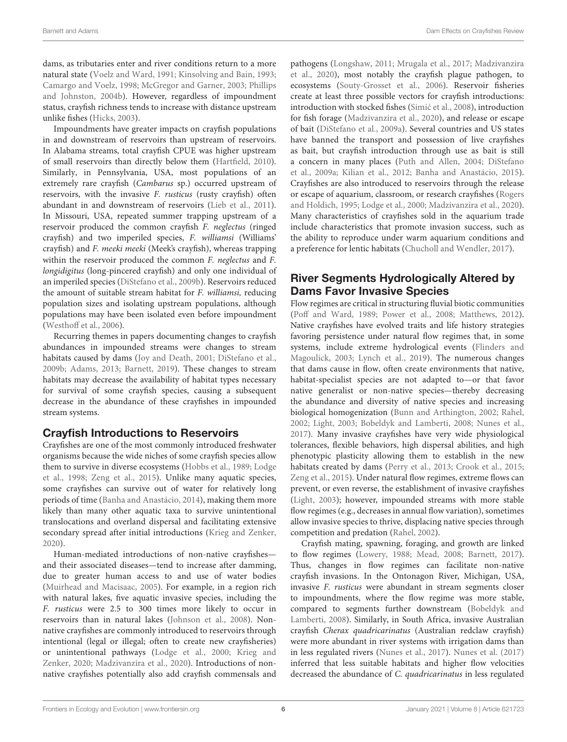dams, as tributaries enter and river conditions return to a more natural state [\(Voelz and Ward, 1991;](#page-14-13) [Kinsolving and Bain, 1993;](#page-12-28) [Camargo and Voelz, 1998;](#page-10-21) [McGregor and Garner, 2003;](#page-12-26) Phillips and Johnston, [2004b\)](#page-13-21). However, regardless of impoundment status, crayfish richness tends to increase with distance upstream unlike fishes [\(Hicks, 2003\)](#page-11-32).

Impoundments have greater impacts on crayfish populations in and downstream of reservoirs than upstream of reservoirs. In Alabama streams, total crayfish CPUE was higher upstream of small reservoirs than directly below them [\(Hartfield, 2010\)](#page-11-5). Similarly, in Pennsylvania, USA, most populations of an extremely rare crayfish (Cambarus sp.) occurred upstream of reservoirs, with the invasive F. rusticus (rusty crayfish) often abundant in and downstream of reservoirs [\(Lieb et al., 2011\)](#page-12-5). In Missouri, USA, repeated summer trapping upstream of a reservoir produced the common crayfish F. neglectus (ringed crayfish) and two imperiled species, F. williamsi (Williams' crayfish) and F. meeki meeki (Meek's crayfish), whereas trapping within the reservoir produced the common F. neglectus and F. longidigitus (long-pincered crayfish) and only one individual of an imperiled species [\(DiStefano et al., 2009b\)](#page-11-7). Reservoirs reduced the amount of suitable stream habitat for F. williamsi, reducing population sizes and isolating upstream populations, although populations may have been isolated even before impoundment [\(Westhoff et al., 2006\)](#page-14-2).

Recurring themes in papers documenting changes to crayfish abundances in impounded streams were changes to stream habitats caused by dams [\(Joy and Death, 2001;](#page-11-6) [DiStefano et al.,](#page-11-7) [2009b;](#page-11-7) [Adams, 2013;](#page-10-4) [Barnett, 2019\)](#page-10-5). These changes to stream habitats may decrease the availability of habitat types necessary for survival of some crayfish species, causing a subsequent decrease in the abundance of these crayfishes in impounded stream systems.

# Crayfish Introductions to Reservoirs

Crayfishes are one of the most commonly introduced freshwater organisms because the wide niches of some crayfish species allow them to survive in diverse ecosystems [\(Hobbs et al., 1989;](#page-11-8) Lodge et al., [1998;](#page-12-29) [Zeng et al., 2015\)](#page-14-16). Unlike many aquatic species, some crayfishes can survive out of water for relatively long periods of time [\(Banha and Anastácio, 2014\)](#page-10-24), making them more likely than many other aquatic taxa to survive unintentional translocations and overland dispersal and facilitating extensive secondary spread after initial introductions [\(Krieg and Zenker,](#page-12-16) [2020\)](#page-12-16).

Human-mediated introductions of non-native crayfishes and their associated diseases—tend to increase after damming, due to greater human access to and use of water bodies [\(Muirhead and Macisaac, 2005\)](#page-12-30). For example, in a region rich with natural lakes, five aquatic invasive species, including the F. rusticus were 2.5 to 300 times more likely to occur in reservoirs than in natural lakes [\(Johnson et al., 2008\)](#page-11-9). Nonnative crayfishes are commonly introduced to reservoirs through intentional (legal or illegal; often to create new crayfisheries) or unintentional pathways [\(Lodge et al., 2000;](#page-12-6) Krieg and Zenker, [2020;](#page-12-16) [Madzivanzira et al., 2020\)](#page-12-9). Introductions of nonnative crayfishes potentially also add crayfish commensals and pathogens [\(Longshaw, 2011;](#page-12-10) [Mrugala et al., 2017;](#page-12-12) Madzivanzira et al., [2020\)](#page-12-9), most notably the crayfish plague pathogen, to ecosystems [\(Souty-Grosset et al., 2006\)](#page-13-25). Reservoir fisheries create at least three possible vectors for crayfish introductions: introduction with stocked fishes [\(Simic et al., 2008](#page-13-9)), introduction for fish forage [\(Madzivanzira et al., 2020\)](#page-12-9), and release or escape of bait [\(DiStefano et al., 2009a\)](#page-10-6). Several countries and US states have banned the transport and possession of live crayfishes as bait, but crayfish introduction through use as bait is still a concern in many places [\(Puth and Allen, 2004;](#page-13-8) DiStefano et al., [2009a;](#page-10-6) [Kilian et al., 2012;](#page-12-7) [Banha and Anastácio, 2015\)](#page-10-25). Crayfishes are also introduced to reservoirs through the release or escape of aquarium, classroom, or research crayfishes (Rogers and Holdich, [1995;](#page-13-7) [Lodge et al., 2000;](#page-12-6) [Madzivanzira et al., 2020\)](#page-12-9). Many characteristics of crayfishes sold in the aquarium trade include characteristics that promote invasion success, such as the ability to reproduce under warm aquarium conditions and a preference for lentic habitats [\(Chucholl and Wendler, 2017\)](#page-10-26).

# River Segments Hydrologically Altered by Dams Favor Invasive Species

Flow regimes are critical in structuring fluvial biotic communities [\(Poff and Ward, 1989;](#page-13-26) [Power et al., 2008;](#page-13-27) [Matthews, 2012\)](#page-12-31). Native crayfishes have evolved traits and life history strategies favoring persistence under natural flow regimes that, in some systems, include extreme hydrological events (Flinders and Magoulick, [2003;](#page-11-33) [Lynch et al., 2019\)](#page-12-32). The numerous changes that dams cause in flow, often create environments that native, habitat-specialist species are not adapted to—or that favor native generalist or non-native species—thereby decreasing the abundance and diversity of native species and increasing biological homogenization [\(Bunn and Arthington, 2002;](#page-10-27) [Rahel,](#page-13-28) [2002;](#page-13-28) [Light, 2003;](#page-12-14) [Bobeldyk and Lamberti, 2008;](#page-10-7) [Nunes et al.,](#page-12-8) [2017\)](#page-12-8). Many invasive crayfishes have very wide physiological tolerances, flexible behaviors, high dispersal abilities, and high phenotypic plasticity allowing them to establish in the new habitats created by dams [\(Perry et al., 2013;](#page-13-29) [Crook et al., 2015;](#page-10-15) [Zeng et al., 2015\)](#page-14-16). Under natural flow regimes, extreme flows can prevent, or even reverse, the establishment of invasive crayfishes [\(Light, 2003\)](#page-12-14); however, impounded streams with more stable flow regimes (e.g., decreases in annual flow variation), sometimes allow invasive species to thrive, displacing native species through competition and predation [\(Rahel, 2002\)](#page-13-28).

Crayfish mating, spawning, foraging, and growth are linked to flow regimes [\(Lowery, 1988;](#page-12-33) [Mead, 2008;](#page-12-34) [Barnett, 2017\)](#page-10-28). Thus, changes in flow regimes can facilitate non-native crayfish invasions. In the Ontonagon River, Michigan, USA, invasive F. rusticus were abundant in stream segments closer to impoundments, where the flow regime was more stable, compared to segments further downstream (Bobeldyk and Lamberti, [2008\)](#page-10-7). Similarly, in South Africa, invasive Australian crayfish Cherax quadricarinatus (Australian redclaw crayfish) were more abundant in river systems with irrigation dams than in less regulated rivers [\(Nunes et al., 2017\)](#page-12-8). [Nunes et al. \(2017\)](#page-12-8) inferred that less suitable habitats and higher flow velocities decreased the abundance of C. quadricarinatus in less regulated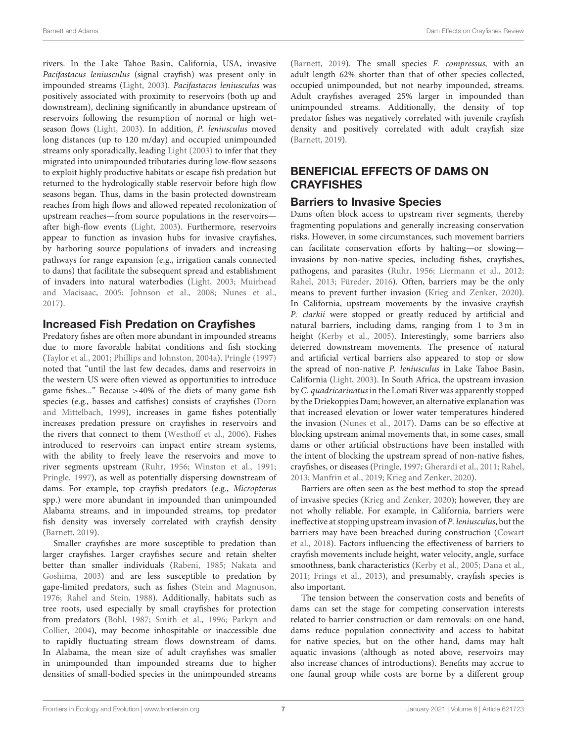rivers. In the Lake Tahoe Basin, California, USA, invasive Pacifastacus leniusculus (signal crayfish) was present only in impounded streams [\(Light, 2003\)](#page-12-14). Pacifastacus leniusculus was positively associated with proximity to reservoirs (both up and downstream), declining significantly in abundance upstream of reservoirs following the resumption of normal or high wetseason flows [\(Light, 2003\)](#page-12-14). In addition, P. leniusculus moved long distances (up to 120 m/day) and occupied unimpounded streams only sporadically, leading [Light \(2003\)](#page-12-14) to infer that they migrated into unimpounded tributaries during low-flow seasons to exploit highly productive habitats or escape fish predation but returned to the hydrologically stable reservoir before high flow seasons began. Thus, dams in the basin protected downstream reaches from high flows and allowed repeated recolonization of upstream reaches—from source populations in the reservoirs after high-flow events [\(Light, 2003\)](#page-12-14). Furthermore, reservoirs appear to function as invasion hubs for invasive crayfishes, by harboring source populations of invaders and increasing pathways for range expansion (e.g., irrigation canals connected to dams) that facilitate the subsequent spread and establishment of invaders into natural waterbodies [\(Light, 2003;](#page-12-14) Muirhead and Macisaac, [2005;](#page-12-30) [Johnson et al., 2008;](#page-11-9) [Nunes et al.,](#page-12-8) [2017\)](#page-12-8).

#### Increased Fish Predation on Crayfishes

Predatory fishes are often more abundant in impounded streams due to more favorable habitat conditions and fish stocking [\(Taylor et al., 2001;](#page-14-17) [Phillips and Johnston, 2004a\)](#page-13-30). [Pringle \(1997\)](#page-13-31) noted that "until the last few decades, dams and reservoirs in the western US were often viewed as opportunities to introduce game fishes..." Because >40% of the diets of many game fish species (e.g., basses and catfishes) consists of crayfishes (Dorn and Mittelbach, [1999\)](#page-11-34), increases in game fishes potentially increases predation pressure on crayfishes in reservoirs and the rivers that connect to them [\(Westhoff et al., 2006\)](#page-14-2). Fishes introduced to reservoirs can impact entire stream systems, with the ability to freely leave the reservoirs and move to river segments upstream [\(Ruhr, 1956;](#page-13-32) [Winston et al., 1991;](#page-14-11) [Pringle, 1997\)](#page-13-31), as well as potentially dispersing downstream of dams. For example, top crayfish predators (e.g., Micropterus spp.) were more abundant in impounded than unimpounded Alabama streams, and in impounded streams, top predator fish density was inversely correlated with crayfish density [\(Barnett, 2019\)](#page-10-5).

Smaller crayfishes are more susceptible to predation than larger crayfishes. Larger crayfishes secure and retain shelter better than smaller individuals [\(Rabeni, 1985;](#page-13-33) Nakata and Goshima, [2003\)](#page-12-35) and are less susceptible to predation by gape-limited predators, such as fishes [\(Stein and Magnuson,](#page-13-34) [1976;](#page-13-34) [Rahel and Stein, 1988\)](#page-13-35). Additionally, habitats such as tree roots, used especially by small crayfishes for protection from predators [\(Bohl, 1987;](#page-10-29) [Smith et al., 1996;](#page-13-36) Parkyn and Collier, [2004\)](#page-13-37), may become inhospitable or inaccessible due to rapidly fluctuating stream flows downstream of dams. In Alabama, the mean size of adult crayfishes was smaller in unimpounded than impounded streams due to higher densities of small-bodied species in the unimpounded streams [\(Barnett, 2019\)](#page-10-5). The small species F. compressus, with an adult length 62% shorter than that of other species collected, occupied unimpounded, but not nearby impounded, streams. Adult crayfishes averaged 25% larger in impounded than unimpounded streams. Additionally, the density of top predator fishes was negatively correlated with juvenile crayfish density and positively correlated with adult crayfish size [\(Barnett, 2019\)](#page-10-5).

# BENEFICIAL EFFECTS OF DAMS ON **CRAYFISHES**

#### Barriers to Invasive Species

Dams often block access to upstream river segments, thereby fragmenting populations and generally increasing conservation risks. However, in some circumstances, such movement barriers can facilitate conservation efforts by halting—or slowing invasions by non-native species, including fishes, crayfishes, pathogens, and parasites [\(Ruhr, 1956;](#page-13-32) [Liermann et al., 2012;](#page-12-0) [Rahel, 2013;](#page-13-10) [Füreder, 2016\)](#page-11-3). Often, barriers may be the only means to prevent further invasion [\(Krieg and Zenker, 2020\)](#page-12-16). In California, upstream movements by the invasive crayfish P. clarkii were stopped or greatly reduced by artificial and natural barriers, including dams, ranging from 1 to 3 m in height [\(Kerby et al., 2005\)](#page-11-11). Interestingly, some barriers also deterred downstream movements. The presence of natural and artificial vertical barriers also appeared to stop or slow the spread of non-native P. leniusculus in Lake Tahoe Basin, California [\(Light, 2003\)](#page-12-14). In South Africa, the upstream invasion by C. quadricarinatus in the Lomati River was apparently stopped by the Driekoppies Dam; however, an alternative explanation was that increased elevation or lower water temperatures hindered the invasion [\(Nunes et al., 2017\)](#page-12-8). Dams can be so effective at blocking upstream animal movements that, in some cases, small dams or other artificial obstructions have been installed with the intent of blocking the upstream spread of non-native fishes, crayfishes, or diseases [\(Pringle, 1997;](#page-13-31) [Gherardi et al., 2011;](#page-11-12) [Rahel,](#page-13-10) [2013;](#page-13-10) [Manfrin et al., 2019;](#page-12-36) [Krieg and Zenker, 2020\)](#page-12-16).

Barriers are often seen as the best method to stop the spread of invasive species [\(Krieg and Zenker, 2020\)](#page-12-16); however, they are not wholly reliable. For example, in California, barriers were ineffective at stopping upstream invasion of P. leniusculus, but the barriers may have been breached during construction (Cowart et al., [2018\)](#page-10-30). Factors influencing the effectiveness of barriers to crayfish movements include height, water velocity, angle, surface smoothness, bank characteristics [\(Kerby et al., 2005;](#page-11-11) [Dana et al.,](#page-10-8) [2011;](#page-10-8) [Frings et al., 2013\)](#page-11-35), and presumably, crayfish species is also important.

The tension between the conservation costs and benefits of dams can set the stage for competing conservation interests related to barrier construction or dam removals: on one hand, dams reduce population connectivity and access to habitat for native species, but on the other hand, dams may halt aquatic invasions (although as noted above, reservoirs may also increase chances of introductions). Benefits may accrue to one faunal group while costs are borne by a different group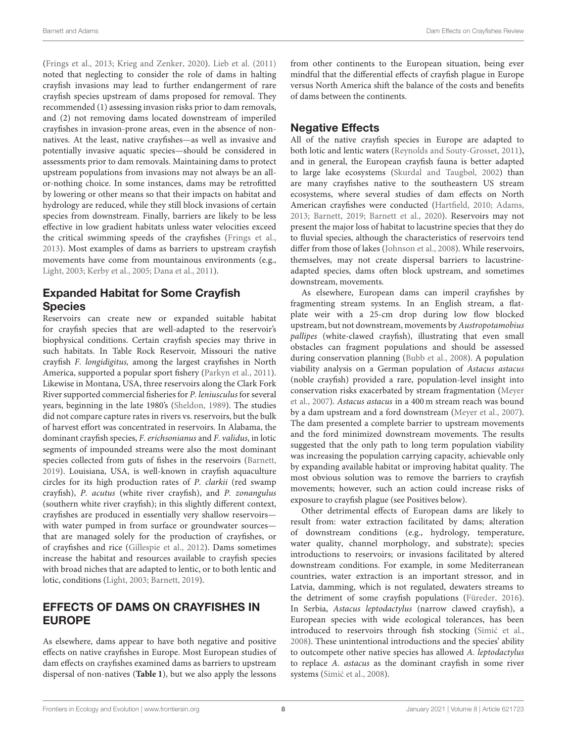[\(Frings et al., 2013;](#page-11-35) [Krieg and Zenker, 2020\)](#page-12-16). [Lieb et al. \(2011\)](#page-12-5) noted that neglecting to consider the role of dams in halting crayfish invasions may lead to further endangerment of rare crayfish species upstream of dams proposed for removal. They recommended (1) assessing invasion risks prior to dam removals, and (2) not removing dams located downstream of imperiled crayfishes in invasion-prone areas, even in the absence of nonnatives. At the least, native crayfishes—as well as invasive and potentially invasive aquatic species—should be considered in assessments prior to dam removals. Maintaining dams to protect upstream populations from invasions may not always be an allor-nothing choice. In some instances, dams may be retrofitted by lowering or other means so that their impacts on habitat and hydrology are reduced, while they still block invasions of certain species from downstream. Finally, barriers are likely to be less effective in low gradient habitats unless water velocities exceed the critical swimming speeds of the crayfishes [\(Frings et al.,](#page-11-35) [2013\)](#page-11-35). Most examples of dams as barriers to upstream crayfish movements have come from mountainous environments (e.g., [Light, 2003;](#page-12-14) [Kerby et al., 2005;](#page-11-11) [Dana et al., 2011\)](#page-10-8).

# Expanded Habitat for Some Crayfish **Species**

Reservoirs can create new or expanded suitable habitat for crayfish species that are well-adapted to the reservoir's biophysical conditions. Certain crayfish species may thrive in such habitats. In Table Rock Reservoir, Missouri the native crayfish F. longidigitus, among the largest crayfishes in North America, supported a popular sport fishery [\(Parkyn et al., 2011\)](#page-13-13). Likewise in Montana, USA, three reservoirs along the Clark Fork River supported commercial fisheries for P. leniusculus for several years, beginning in the late 1980's [\(Sheldon, 1989\)](#page-13-12). The studies did not compare capture rates in rivers vs. reservoirs, but the bulk of harvest effort was concentrated in reservoirs. In Alabama, the dominant crayfish species, F. erichsonianus and F. validus, in lotic segments of impounded streams were also the most dominant species collected from guts of fishes in the reservoirs [\(Barnett,](#page-10-5) [2019\)](#page-10-5). Louisiana, USA, is well-known in crayfish aquaculture circles for its high production rates of P. clarkii (red swamp crayfish), P. acutus (white river crayfish), and P. zonangulus (southern white river crayfish); in this slightly different context, crayfishes are produced in essentially very shallow reservoirs with water pumped in from surface or groundwater sources that are managed solely for the production of crayfishes, or of crayfishes and rice [\(Gillespie et al., 2012\)](#page-11-36). Dams sometimes increase the habitat and resources available to crayfish species with broad niches that are adapted to lentic, or to both lentic and lotic, conditions [\(Light, 2003;](#page-12-14) [Barnett, 2019\)](#page-10-5).

# EFFECTS OF DAMS ON CRAYFISHES IN EUROPE

As elsewhere, dams appear to have both negative and positive effects on native crayfishes in Europe. Most European studies of dam effects on crayfishes examined dams as barriers to upstream dispersal of non-natives (**[Table 1](#page-2-0)**), but we also apply the lessons from other continents to the European situation, being ever mindful that the differential effects of crayfish plague in Europe versus North America shift the balance of the costs and benefits of dams between the continents.

# Negative Effects

All of the native crayfish species in Europe are adapted to both lotic and lentic waters [\(Reynolds and Souty-Grosset, 2011\)](#page-13-38), and in general, the European crayfish fauna is better adapted to large lake ecosystems [\(Skurdal and Taugbøl, 2002\)](#page-13-39) than are many crayfishes native to the southeastern US stream ecosystems, where several studies of dam effects on North American crayfishes were conducted [\(Hartfield, 2010;](#page-11-5) [Adams,](#page-10-4) [2013;](#page-10-4) [Barnett, 2019;](#page-10-5) [Barnett et al., 2020\)](#page-10-2). Reservoirs may not present the major loss of habitat to lacustrine species that they do to fluvial species, although the characteristics of reservoirs tend differ from those of lakes [\(Johnson et al., 2008\)](#page-11-9). While reservoirs, themselves, may not create dispersal barriers to lacustrineadapted species, dams often block upstream, and sometimes downstream, movements.

As elsewhere, European dams can imperil crayfishes by fragmenting stream systems. In an English stream, a flatplate weir with a 25-cm drop during low flow blocked upstream, but not downstream, movements by Austropotamobius pallipes (white-clawed crayfish), illustrating that even small obstacles can fragment populations and should be assessed during conservation planning [\(Bubb et al., 2008\)](#page-10-3). A population viability analysis on a German population of Astacus astacus (noble crayfish) provided a rare, population-level insight into conservation risks exacerbated by stream fragmentation (Meyer et al., [2007\)](#page-12-4). Astacus astacus in a 400 m stream reach was bound by a dam upstream and a ford downstream [\(Meyer et al., 2007\)](#page-12-4). The dam presented a complete barrier to upstream movements and the ford minimized downstream movements. The results suggested that the only path to long term population viability was increasing the population carrying capacity, achievable only by expanding available habitat or improving habitat quality. The most obvious solution was to remove the barriers to crayfish movements; however, such an action could increase risks of exposure to crayfish plague (see Positives below).

Other detrimental effects of European dams are likely to result from: water extraction facilitated by dams; alteration of downstream conditions (e.g., hydrology, temperature, water quality, channel morphology, and substrate); species introductions to reservoirs; or invasions facilitated by altered downstream conditions. For example, in some Mediterranean countries, water extraction is an important stressor, and in Latvia, damming, which is not regulated, dewaters streams to the detriment of some crayfish populations [\(Füreder, 2016\)](#page-11-3). In Serbia, Astacus leptodactylus (narrow clawed crayfish), a European species with wide ecological tolerances, has been introduced to reservoirs through fish stocking (Simić et al., [2008\)](#page-13-9). These unintentional introductions and the species' ability to outcompete other native species has allowed A. leptodactylus to replace A. astacus as the dominant crayfish in some river systems (Simić et al., 2008).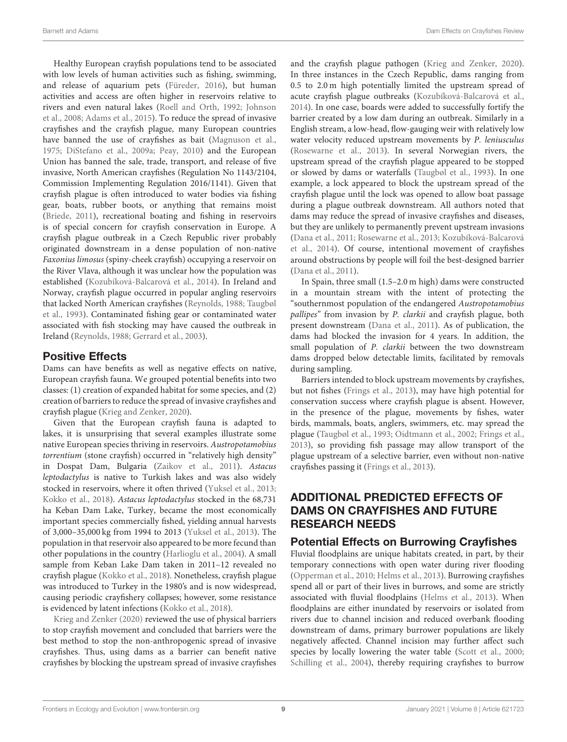Healthy European crayfish populations tend to be associated with low levels of human activities such as fishing, swimming, and release of aquarium pets [\(Füreder, 2016\)](#page-11-3), but human activities and access are often higher in reservoirs relative to rivers and even natural lakes [\(Roell and Orth, 1992;](#page-13-6) Johnson et al., [2008;](#page-11-9) [Adams et al., 2015\)](#page-10-11). To reduce the spread of invasive crayfishes and the crayfish plague, many European countries have banned the use of crayfishes as bait [\(Magnuson et al.,](#page-12-37) [1975;](#page-12-37) [DiStefano et al., 2009a;](#page-10-6) [Peay, 2010\)](#page-13-40) and the European Union has banned the sale, trade, transport, and release of five invasive, North American crayfishes (Regulation No 1143/2104, Commission Implementing Regulation 2016/1141). Given that crayfish plague is often introduced to water bodies via fishing gear, boats, rubber boots, or anything that remains moist [\(Briede, 2011\)](#page-10-31), recreational boating and fishing in reservoirs is of special concern for crayfish conservation in Europe. A crayfish plague outbreak in a Czech Republic river probably originated downstream in a dense population of non-native Faxonius limosus (spiny-cheek crayfish) occupying a reservoir on the River Vlava, although it was unclear how the population was established [\(Kozubíková-Balcarová et al., 2014\)](#page-12-11). In Ireland and Norway, crayfish plague occurred in popular angling reservoirs that lacked North American crayfishes [\(Reynolds, 1988;](#page-13-4) Taugbøl et al., [1993\)](#page-14-1). Contaminated fishing gear or contaminated water associated with fish stocking may have caused the outbreak in Ireland [\(Reynolds, 1988;](#page-13-4) [Gerrard et al., 2003\)](#page-11-10).

# Positive Effects

Dams can have benefits as well as negative effects on native, European crayfish fauna. We grouped potential benefits into two classes: (1) creation of expanded habitat for some species, and (2) creation of barriers to reduce the spread of invasive crayfishes and crayfish plague [\(Krieg and Zenker, 2020\)](#page-12-16).

Given that the European crayfish fauna is adapted to lakes, it is unsurprising that several examples illustrate some native European species thriving in reservoirs. Austropotamobius torrentium (stone crayfish) occurred in "relatively high density" in Dospat Dam, Bulgaria [\(Zaikov et al., 2011\)](#page-14-3). Astacus leptodactylus is native to Turkish lakes and was also widely stocked in reservoirs, where it often thrived [\(Yuksel et al., 2013;](#page-14-4) [Kokko et al., 2018\)](#page-12-13). Astacus leptodactylus stocked in the 68,731 ha Keban Dam Lake, Turkey, became the most economically important species commercially fished, yielding annual harvests of 3,000–35,000 kg from 1994 to 2013 [\(Yuksel et al., 2013\)](#page-14-4). The population in that reservoir also appeared to be more fecund than other populations in the country [\(Harlioglu et al., 2004\)](#page-11-37). A small sample from Keban Lake Dam taken in 2011–12 revealed no crayfish plague [\(Kokko et al., 2018\)](#page-12-13). Nonetheless, crayfish plague was introduced to Turkey in the 1980's and is now widespread, causing periodic crayfishery collapses; however, some resistance is evidenced by latent infections [\(Kokko et al., 2018\)](#page-12-13).

[Krieg and Zenker \(2020\)](#page-12-16) reviewed the use of physical barriers to stop crayfish movement and concluded that barriers were the best method to stop the non-anthropogenic spread of invasive crayfishes. Thus, using dams as a barrier can benefit native crayfishes by blocking the upstream spread of invasive crayfishes and the crayfish plague pathogen [\(Krieg and Zenker, 2020\)](#page-12-16). In three instances in the Czech Republic, dams ranging from 0.5 to 2.0 m high potentially limited the upstream spread of acute crayfish plague outbreaks [\(Kozubíková-Balcarová et al.,](#page-12-11) [2014\)](#page-12-11). In one case, boards were added to successfully fortify the barrier created by a low dam during an outbreak. Similarly in a English stream, a low-head, flow-gauging weir with relatively low water velocity reduced upstream movements by P. leniusculus [\(Rosewarne et al., 2013\)](#page-13-11). In several Norwegian rivers, the upstream spread of the crayfish plague appeared to be stopped or slowed by dams or waterfalls [\(Taugbøl et al., 1993\)](#page-14-1). In one example, a lock appeared to block the upstream spread of the crayfish plague until the lock was opened to allow boat passage during a plague outbreak downstream. All authors noted that dams may reduce the spread of invasive crayfishes and diseases, but they are unlikely to permanently prevent upstream invasions [\(Dana et al., 2011;](#page-10-8) [Rosewarne et al., 2013;](#page-13-11) Kozubíková-Balcarová et al., [2014\)](#page-12-11). Of course, intentional movement of crayfishes around obstructions by people will foil the best-designed barrier [\(Dana et al., 2011\)](#page-10-8).

In Spain, three small (1.5–2.0 m high) dams were constructed in a mountain stream with the intent of protecting the "southernmost population of the endangered Austropotamobius pallipes" from invasion by P. clarkii and crayfish plague, both present downstream [\(Dana et al., 2011\)](#page-10-8). As of publication, the dams had blocked the invasion for 4 years. In addition, the small population of P. clarkii between the two downstream dams dropped below detectable limits, facilitated by removals during sampling.

Barriers intended to block upstream movements by crayfishes, but not fishes [\(Frings et al., 2013\)](#page-11-35), may have high potential for conservation success where crayfish plague is absent. However, in the presence of the plague, movements by fishes, water birds, mammals, boats, anglers, swimmers, etc. may spread the plague [\(Taugbøl et al., 1993;](#page-14-1) [Oidtmann et al., 2002;](#page-12-38) [Frings et al.,](#page-11-35) [2013\)](#page-11-35), so providing fish passage may allow transport of the plague upstream of a selective barrier, even without non-native crayfishes passing it [\(Frings et al., 2013\)](#page-11-35).

# ADDITIONAL PREDICTED EFFECTS OF DAMS ON CRAYFISHES AND FUTURE RESEARCH NEEDS

# Potential Effects on Burrowing Crayfishes

Fluvial floodplains are unique habitats created, in part, by their temporary connections with open water during river flooding [\(Opperman et al., 2010;](#page-13-41) [Helms et al., 2013\)](#page-11-38). Burrowing crayfishes spend all or part of their lives in burrows, and some are strictly associated with fluvial floodplains [\(Helms et al., 2013\)](#page-11-38). When floodplains are either inundated by reservoirs or isolated from rivers due to channel incision and reduced overbank flooding downstream of dams, primary burrower populations are likely negatively affected. Channel incision may further affect such species by locally lowering the water table [\(Scott et al., 2000;](#page-13-23) [Schilling et al., 2004\)](#page-13-24), thereby requiring crayfishes to burrow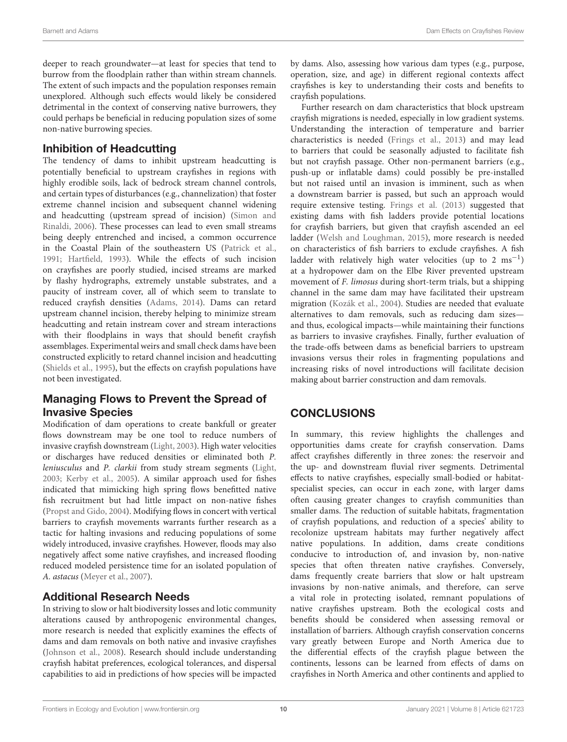deeper to reach groundwater—at least for species that tend to burrow from the floodplain rather than within stream channels. The extent of such impacts and the population responses remain unexplored. Although such effects would likely be considered detrimental in the context of conserving native burrowers, they could perhaps be beneficial in reducing population sizes of some non-native burrowing species.

#### Inhibition of Headcutting

The tendency of dams to inhibit upstream headcutting is potentially beneficial to upstream crayfishes in regions with highly erodible soils, lack of bedrock stream channel controls, and certain types of disturbances (e.g., channelization) that foster extreme channel incision and subsequent channel widening and headcutting (upstream spread of incision) (Simon and Rinaldi, [2006\)](#page-13-22). These processes can lead to even small streams being deeply entrenched and incised, a common occurrence in the Coastal Plain of the southeastern US [\(Patrick et al.,](#page-13-42) [1991;](#page-13-42) [Hartfield, 1993\)](#page-11-39). While the effects of such incision on crayfishes are poorly studied, incised streams are marked by flashy hydrographs, extremely unstable substrates, and a paucity of instream cover, all of which seem to translate to reduced crayfish densities [\(Adams, 2014\)](#page-10-32). Dams can retard upstream channel incision, thereby helping to minimize stream headcutting and retain instream cover and stream interactions with their floodplains in ways that should benefit crayfish assemblages. Experimental weirs and small check dams have been constructed explicitly to retard channel incision and headcutting [\(Shields et al., 1995\)](#page-13-43), but the effects on crayfish populations have not been investigated.

#### Managing Flows to Prevent the Spread of Invasive Species

Modification of dam operations to create bankfull or greater flows downstream may be one tool to reduce numbers of invasive crayfish downstream [\(Light, 2003\)](#page-12-14). High water velocities or discharges have reduced densities or eliminated both P. leniusculus and P. clarkii from study stream segments [\(Light,](#page-12-14) [2003;](#page-12-14) [Kerby et al., 2005\)](#page-11-11). A similar approach used for fishes indicated that mimicking high spring flows benefitted native fish recruitment but had little impact on non-native fishes [\(Propst and Gido, 2004\)](#page-13-44). Modifying flows in concert with vertical barriers to crayfish movements warrants further research as a tactic for halting invasions and reducing populations of some widely introduced, invasive crayfishes. However, floods may also negatively affect some native crayfishes, and increased flooding reduced modeled persistence time for an isolated population of A. astacus [\(Meyer et al., 2007\)](#page-12-4).

# Additional Research Needs

In striving to slow or halt biodiversity losses and lotic community alterations caused by anthropogenic environmental changes, more research is needed that explicitly examines the effects of dams and dam removals on both native and invasive crayfishes [\(Johnson et al., 2008\)](#page-11-9). Research should include understanding crayfish habitat preferences, ecological tolerances, and dispersal capabilities to aid in predictions of how species will be impacted by dams. Also, assessing how various dam types (e.g., purpose, operation, size, and age) in different regional contexts affect crayfishes is key to understanding their costs and benefits to crayfish populations.

Further research on dam characteristics that block upstream crayfish migrations is needed, especially in low gradient systems. Understanding the interaction of temperature and barrier characteristics is needed [\(Frings et al., 2013\)](#page-11-35) and may lead to barriers that could be seasonally adjusted to facilitate fish but not crayfish passage. Other non-permanent barriers (e.g., push-up or inflatable dams) could possibly be pre-installed but not raised until an invasion is imminent, such as when a downstream barrier is passed, but such an approach would require extensive testing. [Frings et al. \(2013\)](#page-11-35) suggested that existing dams with fish ladders provide potential locations for crayfish barriers, but given that crayfish ascended an eel ladder [\(Welsh and Loughman, 2015\)](#page-14-18), more research is needed on characteristics of fish barriers to exclude crayfishes. A fish ladder with relatively high water velocities (up to 2  $\text{ms}^{-1}$ ) at a hydropower dam on the Elbe River prevented upstream movement of F. limosus during short-term trials, but a shipping channel in the same dam may have facilitated their upstream migration [\(Kozák et al., 2004\)](#page-12-15). Studies are needed that evaluate alternatives to dam removals, such as reducing dam sizes and thus, ecological impacts—while maintaining their functions as barriers to invasive crayfishes. Finally, further evaluation of the trade-offs between dams as beneficial barriers to upstream invasions versus their roles in fragmenting populations and increasing risks of novel introductions will facilitate decision making about barrier construction and dam removals.

# **CONCLUSIONS**

In summary, this review highlights the challenges and opportunities dams create for crayfish conservation. Dams affect crayfishes differently in three zones: the reservoir and the up- and downstream fluvial river segments. Detrimental effects to native crayfishes, especially small-bodied or habitatspecialist species, can occur in each zone, with larger dams often causing greater changes to crayfish communities than smaller dams. The reduction of suitable habitats, fragmentation of crayfish populations, and reduction of a species' ability to recolonize upstream habitats may further negatively affect native populations. In addition, dams create conditions conducive to introduction of, and invasion by, non-native species that often threaten native crayfishes. Conversely, dams frequently create barriers that slow or halt upstream invasions by non-native animals, and therefore, can serve a vital role in protecting isolated, remnant populations of native crayfishes upstream. Both the ecological costs and benefits should be considered when assessing removal or installation of barriers. Although crayfish conservation concerns vary greatly between Europe and North America due to the differential effects of the crayfish plague between the continents, lessons can be learned from effects of dams on crayfishes in North America and other continents and applied to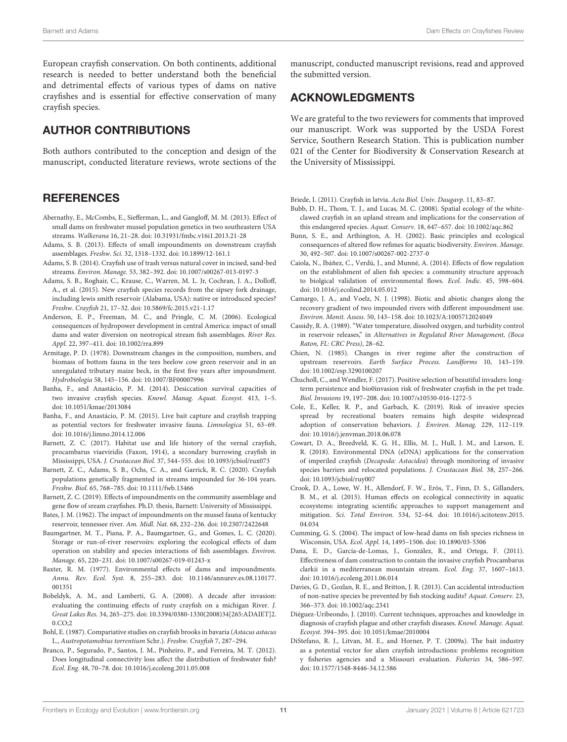European crayfish conservation. On both continents, additional research is needed to better understand both the beneficial and detrimental effects of various types of dams on native crayfishes and is essential for effective conservation of many crayfish species.

# AUTHOR CONTRIBUTIONS

Both authors contributed to the conception and design of the manuscript, conducted literature reviews, wrote sections of the

#### **REFERENCES**

- <span id="page-10-16"></span>Abernathy, E., McCombs, E., Siefferman, L., and Gangloff, M. M. (2013). Effect of small dams on freshwater mussel population genetics in two southeastern USA streams. Walkerana 16, 21–28. doi: [10.31931/fmbc.v16i1.2013.21-28](https://doi.org/10.31931/fmbc.v16i1.2013.21-28)
- <span id="page-10-4"></span>Adams, S. B. (2013). Effects of small impoundments on downstream crayfish assemblages. Freshw. Sci. 32, 1318–1332. doi: [10.1899/12-161.1](https://doi.org/10.1899/12-161.1)
- <span id="page-10-32"></span>Adams, S. B. (2014). Crayfish use of trash versus natural cover in incised, sand-bed streams. Environ. Manage. 53, 382–392. doi: [10.1007/s00267-013-0197-3](https://doi.org/10.1007/s00267-013-0197-3)
- <span id="page-10-11"></span>Adams, S. B., Roghair, C., Krause, C., Warren, M. L. Jr, Cochran, J. A., Dolloff, A., et al. (2015). New crayfish species records from the sipsey fork drainage, including lewis smith reservoir (Alabama, USA): native or introduced species? Freshw. Crayfish 21, 17–32. doi: [10.5869/fc.2015.v21-1.17](https://doi.org/10.5869/fc.2015.v21-1.17)
- <span id="page-10-20"></span>Anderson, E. P., Freeman, M. C., and Pringle, C. M. (2006). Ecological consequences of hydropower development in central America: impact of small dams and water diversion on neotropical stream fish assemblages. River Res. Appl. 22, 397–411. doi: [10.1002/rra.899](https://doi.org/10.1002/rra.899)
- <span id="page-10-18"></span>Armitage, P. D. (1978). Downstream changes in the composition, numbers, and biomass of bottom fauna in the tees beelow cow green reservoir and in an unregulated tributary maize beck, in the first five years after impoundment. Hydrobiologia 58, 145–156. doi: [10.1007/BF00007996](https://doi.org/10.1007/BF00007996)
- <span id="page-10-24"></span>Banha, F., and Anastácio, P. M. (2014). Desiccation survival capacities of two invasive crayfish species. Knowl. Manag. Aquat. Ecosyst. 413, 1–5. doi: [10.1051/kmae/2013084](https://doi.org/10.1051/kmae/2013084)
- <span id="page-10-25"></span>Banha, F., and Anastácio, P. M. (2015). Live bait capture and crayfish trapping as potential vectors for freshwater invasive fauna. Limnologica 51, 63–69. doi: [10.1016/j.limno.2014.12.006](https://doi.org/10.1016/j.limno.2014.12.006)
- <span id="page-10-28"></span>Barnett, Z. C. (2017). Habitat use and life history of the vernal crayfish, procambarus viaeviridis (Faxon, 1914), a secondary burrowing crayfish in Mississippi, USA. J. Crustacean Biol. 37, 544–555. doi: [10.1093/jcbiol/rux073](https://doi.org/10.1093/jcbiol/rux073)
- <span id="page-10-2"></span>Barnett, Z. C., Adams, S. B., Ochs, C. A., and Garrick, R. C. (2020). Crayfish populations genetically fragmented in streams impounded for 36-104 years. Freshw. Biol. 65, 768–785. doi: [10.1111/fwb.13466](https://doi.org/10.1111/fwb.13466)
- <span id="page-10-5"></span>Barnett, Z. C. (2019). Effects of impoundments on the community assemblage and gene flow of sream crayfishes. Ph.D. thesis, Barnett: University of Mississippi.
- <span id="page-10-9"></span>Bates, J. M. (1962). The impact of impoundments on the mussel fauna of kentucky reservoir, tennessee river. Am. Midl. Nat. 68, 232–236. doi: [10.2307/2422648](https://doi.org/10.2307/2422648)
- <span id="page-10-19"></span>Baumgartner, M. T., Piana, P. A., Baumgartner, G., and Gomes, L. C. (2020). Storage or run-of-river reservoirs: exploring the ecological effects of dam operation on stability and species interactions of fish assemblages. Environ. Manage. 65, 220–231. doi: [10.1007/s00267-019-01243-x](https://doi.org/10.1007/s00267-019-01243-x)
- <span id="page-10-0"></span>Baxter, R. M. (1977). Environmental effects of dams and impoundments. Annu. Rev. Ecol. Syst. [8, 255–283. doi: 10.1146/annurev.es.08.110177.](https://doi.org/10.1146/annurev.es.08.110177.001351) 001351
- <span id="page-10-7"></span>Bobeldyk, A. M., and Lamberti, G. A. (2008). A decade after invasion: evaluating the continuing effects of rusty crayfish on a michigan River. J. Great Lakes Res. [34, 265–275. doi: 10.3394/0380-1330\(2008\)34\[265:ADAIET\]2.](https://doi.org/10.3394/0380-1330(2008)34[265:ADAIET]2.0.CO;2) 0.CO;2
- <span id="page-10-29"></span>Bohl, E. (1987). Compariative studies on crayfish brooks in bavaria (Astacus astacus L., Austropotamobius torrentium Schr.). Freshw. Crayfish 7, 287–294.
- <span id="page-10-14"></span>Branco, P., Segurado, P., Santos, J. M., Pinheiro, P., and Ferreira, M. T. (2012). Does longitudinal connectivity loss affect the distribution of freshwater fish? Ecol. Eng. 48, 70–78. doi: [10.1016/j.ecoleng.2011.05.008](https://doi.org/10.1016/j.ecoleng.2011.05.008)

manuscript, conducted manuscript revisions, read and approved the submitted version.

#### ACKNOWLEDGMENTS

We are grateful to the two reviewers for comments that improved our manuscript. Work was supported by the USDA Forest Service, Southern Research Station. This is publication number 021 of the Center for Biodiversity & Conservation Research at the University of Mississippi.

<span id="page-10-31"></span>Briede, I. (2011). Crayfish in latvia. Acta Biol. Univ. Daugavp. 11, 83–87.

- <span id="page-10-3"></span>Bubb, D. H., Thom, T. J., and Lucas, M. C. (2008). Spatial ecology of the whiteclawed crayfish in an upland stream and implications for the conservation of this endangered species. Aquat. Conserv. 18, 647–657. doi: [10.1002/aqc.862](https://doi.org/10.1002/aqc.862)
- <span id="page-10-27"></span>Bunn, S. E., and Arthington, A. H. (2002). Basic principles and ecological consequences of altered flow refimes for aquatic biodiversity. Environ. Manage. 30, 492–507. doi: [10.1007/s00267-002-2737-0](https://doi.org/10.1007/s00267-002-2737-0)
- <span id="page-10-23"></span>Caiola, N., Ibáñez, C., Verdú, J., and Munné, A. (2014). Effects of flow regulation on the establishment of alien fish species: a community structure approach to biolgical validation of environmental flows. Ecol. Indic. 45, 598–604. doi: [10.1016/j.ecolind.2014.05.012](https://doi.org/10.1016/j.ecolind.2014.05.012)
- <span id="page-10-21"></span>Camargo, J. A., and Voelz, N. J. (1998). Biotic and abiotic changes along the recovery gradient of two impounded rivers with different impoundment use. Environ. Monit. Assess. 50, 143–158. doi: [10.1023/A:1005712024049](https://doi.org/10.1023/A:1005712024049)
- <span id="page-10-10"></span>Cassidy, R. A. (1989). "Water temperature, dissolved oxygen, and turbidity control in reservoir releases," in Alternatives in Regulated River Management, (Boca Raton, FL: CRC Press), 28–62.
- <span id="page-10-22"></span>Chien, N. (1985). Changes in river regime after the construction of upstream reservoirs. Earth Surface Process. Landforms 10, 143–159. doi: [10.1002/esp.3290100207](https://doi.org/10.1002/esp.3290100207)
- <span id="page-10-26"></span>Chucholl, C., and Wendler, F. (2017). Positive selection of beautiful invaders: longterm persistence and bio0invasion risk of freshwater crayfish in the pet trade. Biol. Invasions 19, 197–208. doi: [10.1007/s10530-016-1272-5](https://doi.org/10.1007/s10530-016-1272-5)
- <span id="page-10-12"></span>Cole, E., Keller, R. P., and Garbach, K. (2019). Risk of invasive species spread by recreational boaters remains high despite widespread adoption of conservation behaviors. J. Environ. Manag. 229, 112–119. doi: [10.1016/j.jenvman.2018.06.078](https://doi.org/10.1016/j.jenvman.2018.06.078)
- <span id="page-10-30"></span>Cowart, D. A., Breedveld, K. G. H., Ellis, M. J., Hull, J. M., and Larson, E. R. (2018). Environmental DNA (eDNA) applications for the conservation of imperiled crayfish (Decapoda: Astacidea) through monitoring of invasive species barriers and relocated populations. J. Crustacean Biol. 38, 257–266. doi: [10.1093/jcbiol/ruy007](https://doi.org/10.1093/jcbiol/ruy007)
- <span id="page-10-15"></span>Crook, D. A., Lowe, W. H., Allendorf, F. W., Erös, T., Finn, D. S., Gillanders, B. M., et al. (2015). Human effects on ecological connectivity in aquatic ecosystems: integrating scientific approaches to support management and mitigation. Sci. Total Environ. [534, 52–64. doi: 10.1016/j.scitotenv.2015.](https://doi.org/10.1016/j.scitotenv.2015.04.034) 04.034
- <span id="page-10-17"></span>Cumming, G. S. (2004). The impact of low-head dams on fish species richness in Wisconsin, USA. Ecol. Appl. 14, 1495–1506. doi: [10.1890/03-5306](https://doi.org/10.1890/03-5306)
- <span id="page-10-8"></span>Dana, E. D., García-de-Lomas, J., González, R., and Ortega, F. (2011). Effectiveness of dam construction to contain the invasive crayfish Procambarus clarkii in a mediterranean mountain stream. Ecol. Eng. 37, 1607–1613. doi: [10.1016/j.ecoleng.2011.06.014](https://doi.org/10.1016/j.ecoleng.2011.06.014)
- <span id="page-10-13"></span>Davies, G. D., Gozlan, R. E., and Britton, J. R. (2013). Can accidental introduction of non-native species be prevented by fish stocking audits? Aquat. Conserv. 23, 366–373. doi: [10.1002/aqc.2341](https://doi.org/10.1002/aqc.2341)
- <span id="page-10-1"></span>Diéguez-Uribeondo, J. (2010). Current techniques, approaches and knowledge in diagnosis of crayfish plague and other crayfish diseases. Knowl. Manage. Aquat. Ecosyst. 394–395. doi: [10.1051/kmae/2010004](https://doi.org/10.1051/kmae/2010004)
- <span id="page-10-6"></span>DiStefano, R. J., Litvan, M. E., and Horner, P. T. (2009a). The bait industry as a potential vector for alien crayfish introductions: problems recognition y fisheries agencies and a Missouri evaluation. Fisheries 34, 586–597. doi: [10.1577/1548-8446-34.12.586](https://doi.org/10.1577/1548-8446-34.12.586)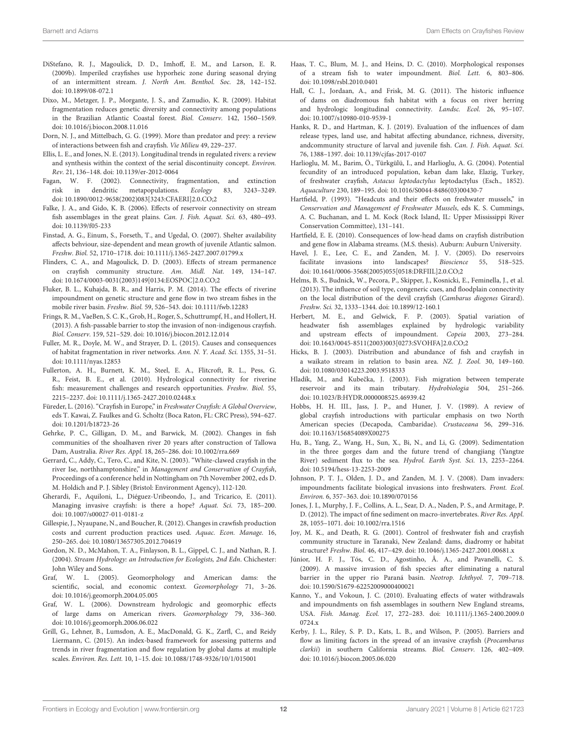- <span id="page-11-7"></span>DiStefano, R. J., Magoulick, D. D., Imhoff, E. M., and Larson, E. R. (2009b). Imperiled crayfishes use hyporheic zone during seasonal drying of an intermittent stream. J. North Am. Benthol. Soc. 28, 142–152. doi: [10.1899/08-072.1](https://doi.org/10.1899/08-072.1)
- <span id="page-11-31"></span>Dixo, M., Metzger, J. P., Morgante, J. S., and Zamudio, K. R. (2009). Habitat fragmentation reduces genetic diversity and connectivity among populations in the Brazilian Atlantic Coastal forest. Biol. Conserv. 142, 1560–1569. doi: [10.1016/j.biocon.2008.11.016](https://doi.org/10.1016/j.biocon.2008.11.016)
- <span id="page-11-34"></span>Dorn, N. J., and Mittelbach, G. G. (1999). More than predator and prey: a review of interactions between fish and crayfish. Vie Milieu 49, 229–237.
- <span id="page-11-4"></span>Ellis, L. E., and Jones, N. E. (2013). Longitudinal trends in regulated rivers: a review and synthesis within the context of the serial discontinuity concept. Environ. Rev. 21, 136–148. doi: [10.1139/er-2012-0064](https://doi.org/10.1139/er-2012-0064)
- <span id="page-11-29"></span>Fagan, W. F. (2002). Connectivity, fragmentation, and extinction risk in dendritic metapopulations. Ecology 83, 3243–3249. doi: [10.1890/0012-9658\(2002\)083\[3243:CFAERI\]2.0.CO;2](https://doi.org/10.1890/0012-9658(2002)083[3243:CFAERI]2.0.CO;2)
- <span id="page-11-22"></span>Falke, J. A., and Gido, K. B. (2006). Effects of reservoir connectivity on stream fish assemblages in the great plains. Can. J. Fish. Aquat. Sci. 63, 480–493. doi: [10.1139/f05-233](https://doi.org/10.1139/f05-233)
- <span id="page-11-18"></span>Finstad, A. G., Einum, S., Forseth, T., and Ugedal, O. (2007). Shelter availability affects behviour, size-dependent and mean growth of juvenile Atlantic salmon. Freshw. Biol. 52, 1710–1718. doi: [10.1111/j.1365-2427.2007.01799.x](https://doi.org/10.1111/j.1365-2427.2007.01799.x)
- <span id="page-11-33"></span>Flinders, C. A., and Magoulick, D. D. (2003). Effects of stream permanence on crayfish community structure. Am. Midl. Nat. 149, 134–147. doi: [10.1674/0003-0031\(2003\)149\[0134:EOSPOC\]2.0.CO;2](https://doi.org/10.1674/0003-0031(2003)149[0134:EOSPOC]2.0.CO;2)
- <span id="page-11-26"></span>Fluker, B. L., Kuhajda, B. R., and Harris, P. M. (2014). The effects of riverine impoundment on genetic structure and gene flow in two stream fishes in the mobile river basin. Freshw. Biol. 59, 526–543. doi: [10.1111/fwb.12283](https://doi.org/10.1111/fwb.12283)
- <span id="page-11-35"></span>Frings, R. M., VaeBen, S. C. K., Grob, H., Roger, S., Schuttrumpf, H., and Hollert, H. (2013). A fish-passable barrier to stop the invasion of non-indigenous crayfish. Biol. Conserv. 159, 521–529. doi: [10.1016/j.biocon.2012.12.014](https://doi.org/10.1016/j.biocon.2012.12.014)
- <span id="page-11-30"></span>Fuller, M. R., Doyle, M. W., and Strayer, D. L. (2015). Causes and consequences of habitat fragmentation in river networks. Ann. N. Y. Acad. Sci. 1355, 31–51. doi: [10.1111/nyas.12853](https://doi.org/10.1111/nyas.12853)
- <span id="page-11-25"></span>Fullerton, A. H., Burnett, K. M., Steel, E. A., Flitcroft, R. L., Pess, G. R., Feist, B. E., et al. (2010). Hydrological connectivity for riverine fish: measurement challenges and research opportunities. Freshw. Biol. 55, 2215–2237. doi: [10.1111/j.1365-2427.2010.02448.x](https://doi.org/10.1111/j.1365-2427.2010.02448.x)
- <span id="page-11-3"></span>Füreder, L. (2016). "Crayfish in Europe," in Freshwater Crayfish: A Global Overview, eds T. Kawai, Z. Faulkes and G. Scholtz (Boca Raton, FL: CRC Press), 594–627. doi: [10.1201/b18723-26](https://doi.org/10.1201/b18723-26)
- <span id="page-11-23"></span>Gehrke, P. C., Gilligan, D. M., and Barwick, M. (2002). Changes in fish communities of the shoalhaven river 20 years after construction of Tallowa Dam, Australia. River Res. Appl. 18, 265–286. doi: [10.1002/rra.669](https://doi.org/10.1002/rra.669)
- <span id="page-11-10"></span>Gerrard, C., Addy, C., Tero, C., and Kite, N. (2003). "White-clawed crayfish in the river Ise, northhamptonshire," in Management and Conservation of Crayfish, Proceedings of a conference held in Nottingham on 7th November 2002, eds D. M. Holdich and P. J. Sibley (Bristol: Environment Agency), 112-120.
- <span id="page-11-12"></span>Gherardi, F., Aquiloni, L., Diéguez-Uribeondo, J., and Tricarico, E. (2011). Managing invasive crayfish: is there a hope? Aquat. Sci. 73, 185–200. doi: [10.1007/s00027-011-0181-z](https://doi.org/10.1007/s00027-011-0181-z)
- <span id="page-11-36"></span>Gillespie, J., Nyaupane, N., and Boucher, R. (2012). Changes in crawfish production costs and current production practices used. Aquac. Econ. Manage. 16, 250–265. doi: [10.1080/13657305.2012.704619](https://doi.org/10.1080/13657305.2012.704619)
- <span id="page-11-28"></span>Gordon, N. D., McMahon, T. A., Finlayson, B. L., Gippel, C. J., and Nathan, R. J. (2004). Stream Hydrology: an Introduction for Ecologists, 2nd Edn. Chichester: John Wiley and Sons.
- <span id="page-11-16"></span>Graf, W. L. (2005). Geomorphology and American dams: the scientific, social, and economic context. Geomorphology 71, 3-26. doi: [10.1016/j.geomorph.2004.05.005](https://doi.org/10.1016/j.geomorph.2004.05.005)
- <span id="page-11-27"></span>Graf, W. L. (2006). Downstream hydrologic and geomorphic effects of large dams on American rivers. Geomorphology 79, 336–360. doi: [10.1016/j.geomorph.2006.06.022](https://doi.org/10.1016/j.geomorph.2006.06.022)
- <span id="page-11-0"></span>Grill, G., Lehner, B., Lumsdon, A. E., MacDonald, G. K., Zarfl, C., and Reidy Liermann, C. (2015). An index-based framework for assessing patterns and trends in river fragmentation and flow regulation by global dams at multiple scales. Environ. Res. Lett. 10, 1–15. doi: [10.1088/1748-9326/10/1/015001](https://doi.org/10.1088/1748-9326/10/1/015001)
- <span id="page-11-14"></span>Haas, T. C., Blum, M. J., and Heins, D. C. (2010). Morphological responses of a stream fish to water impoundment. Biol. Lett. 6, 803–806. doi: [10.1098/rsbl.2010.0401](https://doi.org/10.1098/rsbl.2010.0401)
- <span id="page-11-24"></span>Hall, C. J., Jordaan, A., and Frisk, M. G. (2011). The historic influence of dams on diadromous fish habitat with a focus on river herring and hydrologic longitudinal connectivity. Landsc. Ecol. 26, 95–107. doi: [10.1007/s10980-010-9539-1](https://doi.org/10.1007/s10980-010-9539-1)
- <span id="page-11-1"></span>Hanks, R. D., and Hartman, K. J. (2019). Evaluation of the influences of dam release types, land use, and habitat affecting abundance, richness, diversity, andcommunity structure of larval and juvenile fish. Can. J. Fish. Aquat. Sci. 76, 1388–1397. doi: [10.1139/cjfas-2017-0107](https://doi.org/10.1139/cjfas-2017-0107)
- <span id="page-11-37"></span>Harlioglu, M. M., Barim, Ö., Türkgülü, I., and Harlioglu, A. G. (2004). Potential fecundity of an introduced population, keban dam lake, Elazig, Turkey, of freshwater crayfish, Astacus leptodactylus leptodactylus (Esch., 1852). Aquaculture 230, 189–195. doi: [10.1016/S0044-8486\(03\)00430-7](https://doi.org/10.1016/S0044-8486(03)00430-7)
- <span id="page-11-39"></span>Hartfield, P. (1993). "Headcuts and their effects on freshwater mussels," in Conservation and Management of Freshwater Mussels, eds K. S. Cummings, A. C. Buchanan, and L. M. Kock (Rock Island, IL: Upper Mississippi River Conservation Committee), 131–141.
- <span id="page-11-5"></span>Hartfield, E. E. (2010). Consequences of low-head dams on crayfish distribution and gene flow in Alabama streams. (M.S. thesis). Auburn: Auburn University.
- <span id="page-11-15"></span>Havel, J. E., Lee, C. E., and Zanden, M. J. V. (2005). Do reservoirs facilitate invasions into landscapes? Bioscience 55, 518–525. doi: [10.1641/0006-3568\(2005\)055\[0518:DRFIIL\]2.0.CO;2](https://doi.org/10.1641/0006-3568(2005)055[0518:DRFIIL]2.0.CO;2)
- <span id="page-11-38"></span>Helms, B. S., Budnick, W., Pecora, P., Skipper, J., Kosnicki, E., Feminella, J., et al. (2013). The influence of soil type, congeneric cues, and floodplain connectivity on the local distribution of the devil crayfish (Cambarus diogenes Girard). Freshw. Sci. 32, 1333–1344. doi: [10.1899/12-160.1](https://doi.org/10.1899/12-160.1)
- <span id="page-11-20"></span>Herbert, M. E., and Gelwick, F. P. (2003). Spatial variation of headwater fish assemblages explained by hydrologic variability and upstream effects of impoundment. Copeia 2003, 273–284. doi: [10.1643/0045-8511\(2003\)003\[0273:SVOHFA\]2.0.CO;2](https://doi.org/10.1643/0045-8511(2003)003[0273:SVOHFA]2.0.CO;2)
- <span id="page-11-32"></span>Hicks, B. J. (2003). Distribution and abundance of fish and crayfish in a waikato stream in relation to basin area. NZ. J. Zool. 30, 149–160. doi: [10.1080/03014223.2003.9518333](https://doi.org/10.1080/03014223.2003.9518333)
- <span id="page-11-21"></span>Hladík, M., and Kubečka, J. (2003). Fish migration between temperate reservoir and its main tributary. Hydrobiologia 504, 251–266. doi: [10.1023/B:HYDR.0000008525.46939.42](https://doi.org/10.1023/B:HYDR.0000008525.46939.42)
- <span id="page-11-8"></span>Hobbs, H. H. III., Jass, J. P., and Huner, J. V. (1989). A review of global crayfish introductions with particular emphasis on two North American species (Decapoda, Cambaridae). Crustaceana 56, 299–316. doi: [10.1163/156854089X00275](https://doi.org/10.1163/156854089X00275)
- <span id="page-11-17"></span>Hu, B., Yang, Z., Wang, H., Sun, X., Bi, N., and Li, G. (2009). Sedimentation in the three gorges dam and the future trend of changjiang (Yangtze River) sediment flux to the sea. Hydrol. Earth Syst. Sci. 13, 2253–2264. doi: [10.5194/hess-13-2253-2009](https://doi.org/10.5194/hess-13-2253-2009)
- <span id="page-11-9"></span>Johnson, P. T. J., Olden, J. D., and Zanden, M. J. V. (2008). Dam invaders: impoundments facilitate biological invasions into freshwaters. Front. Ecol. Environ. 6, 357–363. doi: [10.1890/070156](https://doi.org/10.1890/070156)
- <span id="page-11-19"></span>Jones, J. I., Murphy, J. F., Collins, A. L., Sear, D. A., Naden, P. S., and Armitage, P. D. (2012). The impact of fine sediment on macro-invertebrates. River Res. Appl. 28, 1055–1071. doi: [10.1002/rra.1516](https://doi.org/10.1002/rra.1516)
- <span id="page-11-6"></span>Joy, M. K., and Death, R. G. (2001). Control of freshwater fish and crayfish community structure in Taranaki, New Zealand: dams, diadromy or habitat structure? Freshw. Biol. 46, 417–429. doi: [10.1046/j.1365-2427.2001.00681.x](https://doi.org/10.1046/j.1365-2427.2001.00681.x)
- <span id="page-11-2"></span>Júnior, H. F. J., Tós, C. D., Agostinho, Â. A., and Pavanelli, C. S. (2009). A massive invasion of fish species after eliminating a natural barrier in the upper rio Paraná basin. Neotrop. Ichthyol. 7, 709–718. doi: [10.1590/S1679-62252009000400021](https://doi.org/10.1590/S1679-62252009000400021)
- <span id="page-11-13"></span>Kanno, Y., and Vokoun, J. C. (2010). Evaluating effects of water withdrawals and impoundments on fish assemblages in southern New England streams, USA. Fish. Manag. Ecol. [17, 272–283. doi: 10.1111/j.1365-2400.2009.0](https://doi.org/10.1111/j.1365-2400.2009.00724.x) 0724.x
- <span id="page-11-11"></span>Kerby, J. L., Riley, S. P. D., Kats, L. B., and Wilson, P. (2005). Barriers and flow as limiting factors in the spread of an invasive crayfish (Procambarus clarkii) in southern California streams. Biol. Conserv. 126, 402–409. doi: [10.1016/j.biocon.2005.06.020](https://doi.org/10.1016/j.biocon.2005.06.020)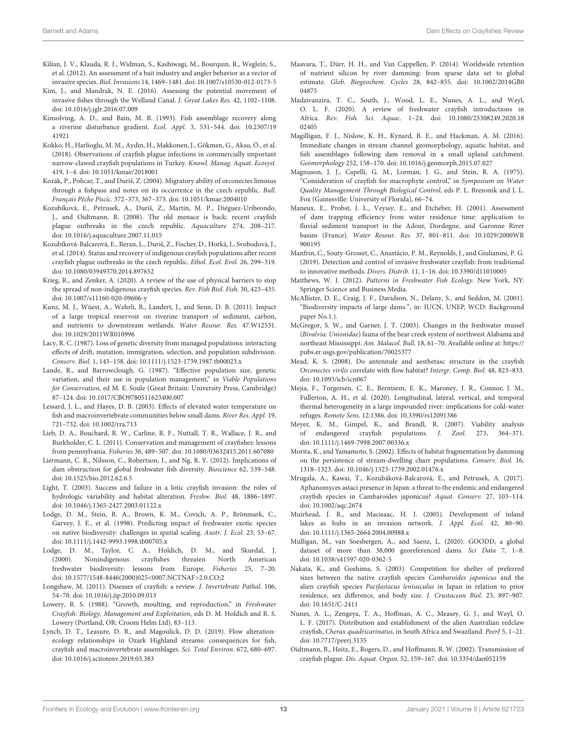- <span id="page-12-7"></span>Kilian, J. V., Klauda, R. J., Widman, S., Kashiwagi, M., Bourquin, R., Weglein, S., et al. (2012). An assessment of a bait industry and angler behavior as a vector of invasive species. Biol. Invasions 14, 1469–1481. doi: [10.1007/s10530-012-0173-5](https://doi.org/10.1007/s10530-012-0173-5)
- <span id="page-12-2"></span>Kim, J., and Mandrak, N. E. (2016). Assessing the potential movement of invasive fishes through the Welland Canal. J. Great Lakes Res. 42, 1102–1108. doi: [10.1016/j.jglr.2016.07.009](https://doi.org/10.1016/j.jglr.2016.07.009)
- <span id="page-12-28"></span>Kinsolving, A. D., and Bain, M. B. (1993). Fish assemblage recovery along [a riverine disturbance gradient.](https://doi.org/10.2307/1941921) Ecol. Appl. 3, 531–544. doi: 10.2307/19 41921
- <span id="page-12-13"></span>Kokko, H., Harlioglu, M. M., Aydin, H., Makkonen, J., Gökmen, G., Aksu, Ö., et al. (2018). Observations of crayfish plague infections in commercially important narrow-clawed crayfish populations in Turkey. Knowl. Manag. Aquat. Ecosyst. 419, 1–4. doi: [10.1051/kmae/2018001](https://doi.org/10.1051/kmae/2018001)
- <span id="page-12-15"></span>Kozák, P., Policar, T., and Duriš, Z. (2004). Migratory ability of orconectes limosus through a fishpass and notes on its occurrence in the czech republic. Bull. Français Pêche Piscic. 372–373, 367–373. doi: [10.1051/kmae:2004010](https://doi.org/10.1051/kmae:2004010)
- <span id="page-12-3"></span>Kozubíková, E., Petrusek, A., Duriš, Z., Martín, M. P., Diéguez-Uribeondo, J., and Oidtmann, B. (2008). The old menace is back: recent crayfish plague outbreaks in the czech republic. Aquaculture 274, 208–217. doi: [10.1016/j.aquaculture.2007.11.015](https://doi.org/10.1016/j.aquaculture.2007.11.015)
- <span id="page-12-11"></span>Kozubíková-Balcarová, E., Beran, L., Duriš, Z., Fischer, D., Horká, I., Svobodová, J., et al. (2014). Status and recovery of indigenous crayfish populations after recent crayfish plague outbreaks in the czech republic. Ethol. Ecol. Evol. 26, 299–319. doi: [10.1080/03949370.2014.897652](https://doi.org/10.1080/03949370.2014.897652)
- <span id="page-12-16"></span>Krieg, R., and Zenker, A. (2020). A review of the use of physical barriers to stop the spread of non-indigenous crayfish species. Rev. Fish Biol. Fish. 30, 423–435. doi: [10.1007/s11160-020-09606-y](https://doi.org/10.1007/s11160-020-09606-y)
- <span id="page-12-24"></span>Kunz, M. J., Wüest, A., Wehrli, B., Landert, J., and Senn, D. B. (2011). Impact of a large tropical reservoir on riverine transport of sediment, carbon, and nutrients to downstream wetlands. Water Resour. Res. 47:W12531. doi: [10.1029/2011WR010996](https://doi.org/10.1029/2011WR010996)
- <span id="page-12-27"></span>Lacy, R. C. (1987). Loss of genetic diversity from managed populations: interacting effects of drift, mutation, immigration, selection, and population subdivision. Conserv. Biol. 1, 143–158. doi: [10.1111/j.1523-1739.1987.tb00023.x](https://doi.org/10.1111/j.1523-1739.1987.tb00023.x)
- <span id="page-12-22"></span>Lande, R., and Barrowclough, G. (1987). "Effective population size, genetic variation, and their use in population management," in Viable Populations for Conservation, ed M. E. Soule (Great Britain: University Press, Cambridge) 87–124. doi: [10.1017/CBO9780511623400.007](https://doi.org/10.1017/CBO9780511623400.007)
- <span id="page-12-23"></span>Lessard, J. L., and Hayes, D. B. (2003). Effects of elevated water temperature on fish and macroinvertebrate communities below small dams. River Res. Appl. 19, 721–732. doi: [10.1002/rra.713](https://doi.org/10.1002/rra.713)
- <span id="page-12-5"></span>Lieb, D. A., Bouchard, R. W., Carline, R. F., Nuttall, T. R., Wallace, J. R., and Burkholder, C. L. (2011). Conservation and management of crayfishes: lessons from pennsylvania. Fisheries 36, 489–507. doi: [10.1080/03632415.2011.607080](https://doi.org/10.1080/03632415.2011.607080)
- <span id="page-12-0"></span>Liermann, C. R., Nilsson, C., Robertson, J., and Ng, R. Y. (2012). Implications of dam obstruction for global freshwater fish diversity. Bioscience 62, 539–548. doi: [10.1525/bio.2012.62.6.5](https://doi.org/10.1525/bio.2012.62.6.5)
- <span id="page-12-14"></span>Light, T. (2003). Success and failure in a lotic crayfish invasion: the roles of hydrologic variability and habitat alteration. Freshw. Biol. 48, 1886–1897. doi: [10.1046/j.1365-2427.2003.01122.x](https://doi.org/10.1046/j.1365-2427.2003.01122.x)
- <span id="page-12-29"></span>Lodge, D. M., Stein, R. A., Brown, K. M., Covich, A. P., Brönmark, C., Garvey, J. E., et al. (1998). Predicting impact of freshwater exotic species on native biodiversity: challenges in spatial scaling. Austr. J. Ecol. 23, 53–67. doi: [10.1111/j.1442-9993.1998.tb00705.x](https://doi.org/10.1111/j.1442-9993.1998.tb00705.x)
- <span id="page-12-6"></span>Lodge, D. M., Taylor, C. A., Holdich, D. M., and Skurdal, J. (2000). Nonindigenous crayfishes threaten North American freshwater biodiversity: lessons from Europe. Fisheries 25, 7–20. doi: [10.1577/1548-8446\(2000\)025<0007:NCTNAF>2.0.CO;2](https://doi.org/10.1577/1548-8446(2000)025<0007:NCTNAF>2.0.CO)
- <span id="page-12-10"></span>Longshaw, M. (2011). Diseases of crayfish: a review. J. Invertebrate Pathal. 106, 54–70. doi: [10.1016/j.jip.2010.09.013](https://doi.org/10.1016/j.jip.2010.09.013)
- <span id="page-12-33"></span>Lowery, R. S. (1988). "Growth, moulting, and reproduction," in Freshwater Crayfish: Biology, Management and Exploitation, eds D. M. Holdich and R. S. Lowery (Portland, OR: Croom Helm Ltd), 83–113.
- <span id="page-12-32"></span>Lynch, D. T., Leasure, D. R., and Magoulick, D. D. (2019). Flow alterationecology relationships in Ozark Highland streams: consequences for fish, crayfish and macroinvertebrate assemblages. Sci. Total Environ. 672, 680–697. doi: [10.1016/j.scitotenv.2019.03.383](https://doi.org/10.1016/j.scitotenv.2019.03.383)
- <span id="page-12-20"></span>Maavara, T., Dürr, H. H., and Van Cappellen, P. (2014). Worldwide retention of nutrient silicon by river damming: from sparse data set to global estimate. Glob. Biogeochem. Cycles [28, 842–855. doi: 10.1002/2014GB0](https://doi.org/10.1002/2014GB004875) 04875
- <span id="page-12-9"></span>Madzivanzira, T. C., South, J., Wood, L. E., Nunes, A. L., and Weyl, O. L. F. (2020). A review of freshwater crayfish introductions in Africa. Rev. Fish. Sci. Aquac[. 1–24. doi: 10.1080/23308249.2020.18](https://doi.org/10.1080/23308249.2020.1802405) 02405
- <span id="page-12-18"></span>Magilligan, F. J., Nislow, K. H., Kynard, B. E., and Hackman, A. M. (2016). Immediate changes in stream channel geomorphology, aquatic habitat, and fish assemblages following dam removal in a small upland catchment. Geomorphology 252, 158–170. doi: [10.1016/j.geomorph.2015.07.027](https://doi.org/10.1016/j.geomorph.2015.07.027)
- <span id="page-12-37"></span>Magnuson, J. J., Capelli, G. M., Lorman, J. G., and Stein, R. A. (1975). "Consideration of crayfish for macrophyte control," in Symposium on Water Quality Management Through Biological Control, eds P. L. Brezonik and J. L. Fox (Gainesville: University of Florida), 66–74.
- <span id="page-12-17"></span>Maneux, E., Probst, J. L., Veyssy, E., and Etcheber, H. (2001). Assessment of dam trapping efficiency from water residence time: application to fluvial sediment transport in the Adour, Dordogne, and Garonne River basins (France). Water Resour. Res. [37, 801–811. doi: 10.1029/2000WR](https://doi.org/10.1029/2000WR900195) 900195
- <span id="page-12-36"></span>Manfrin, C., Souty-Grosset, C., Anastácio, P. M., Reynolds, J., and Giulianini, P. G. (2019). Detection and control of invasive freshwater crayfish: from traditional to innovative methods. Divers. Distrib. 11, 1–16. doi: [10.3390/d11010005](https://doi.org/10.3390/d11010005)
- <span id="page-12-31"></span>Matthews, W. J. (2012). Patterns in Freshwater Fish Ecology. New York, NY: Springer Science and Business Media.
- <span id="page-12-19"></span>McAllister, D. E., Craig, J. F., Davidson, N., Delany, S., and Seddon, M. (2001). "Biodiversity impacts of large dams.", in: IUCN, UNEP, WCD: Background paper No.1.).
- <span id="page-12-26"></span>McGregor, S. W., and Garner, J. T. (2003). Changes in the freshwater mussel (Bivalvia: Unionidae) fauna of the bear creek system of northwest Alabama and northeast Mississippi. Am. Malacol. Bull. 18, 61–70. Available online at: [https://](https://pubs.er.usgs.gov/publication/70025377) [pubs.er.usgs.gov/publication/70025377](https://pubs.er.usgs.gov/publication/70025377)
- <span id="page-12-34"></span>Mead, K. S. (2008). Do antennule and aesthetasc structure in the crayfish Orconectes virilis correlate with flow habitat? Intergr. Comp. Biol. 48, 823–833. doi: [10.1093/icb/icn067](https://doi.org/10.1093/icb/icn067)
- <span id="page-12-25"></span>Mejia, F., Torgersen, C. E., Berntsem, E. K., Maroney, J. R., Connor, J. M., Fullerton, A. H., et al. (2020). Longitudinal, lateral, vertical, and temporal thermal heterogeneity in a large impounded river: implications for cold-water refuges. Remote Sens. 12:1386. doi: [10.3390/rs12091386](https://doi.org/10.3390/rs12091386)
- <span id="page-12-4"></span>Meyer, K. M., Gimpel, K., and Brandl, R. (2007). Viability analysis of endangered crayfish populations. J. Zool. 273, 364–371. doi: [10.1111/j.1469-7998.2007.00336.x](https://doi.org/10.1111/j.1469-7998.2007.00336.x)
- <span id="page-12-21"></span>Morita, K., and Yamamoto, S. (2002). Effects of habitat fragmentation by damming on the persistence of stream-dwelling charr populations. Conserv. Biol. 16, 1318–1323. doi: [10.1046/j.1523-1739.2002.01476.x](https://doi.org/10.1046/j.1523-1739.2002.01476.x)
- <span id="page-12-12"></span>Mrugala, A., Kawai, T., Kozubáková-Balcarová, E., and Petrusek, A. (2017). Aphanomyces astaci presence in Japan: a threat to the endemic and endangered crayfish species in Cambaroides japonicus? Aquat. Conserv. 27, 103–114. doi: [10.1002/aqc.2674](https://doi.org/10.1002/aqc.2674)
- <span id="page-12-30"></span>Muirhead, J. R., and Macisaac, H. J. (2005). Development of inland lakes as hubs in an invasion network. J. Appl. Ecol. 42, 80–90. doi: [10.1111/j.1365-2664.2004.00988.x](https://doi.org/10.1111/j.1365-2664.2004.00988.x)
- <span id="page-12-1"></span>Mulligan, M., van Soesbergen, A., and Saenz, L. (2020). GOODD, a global dataset of more than 38,000 georeferenced dams. Sci Data 7, 1–8. doi: [10.1038/s41597-020-0362-5](https://doi.org/10.1038/s41597-020-0362-5)
- <span id="page-12-35"></span>Nakata, K., and Goshima, S. (2003). Competition for shelter of preferred sizes between the native crayfish species Cambaroides japonicus and the alien crayfish species Pacifastacus leniusculus in Japan in relation to prior residence, sex difference, and body size. J. Crustacean Biol. 23, 897–907. doi: [10.1651/C-2411](https://doi.org/10.1651/C-2411)
- <span id="page-12-8"></span>Nunes, A. L., Zengeya, T. A., Hoffman, A. C., Measey, G. J., and Weyl, O. L. F. (2017). Distribution and establishment of the alien Australian redclaw crayfish, Cherax quadricarinatus, in South Africa and Swaziland. PeerJ 5, 1–21. doi: [10.7717/peerj.3135](https://doi.org/10.7717/peerj.3135)
- <span id="page-12-38"></span>Oidtmann, B., Heitz, E., Rogers, D., and Hoffmann, R. W. (2002). Transmission of crayfish plague. Dis. Aquat. Organ. 52, 159–167. doi: [10.3354/dao052159](https://doi.org/10.3354/dao052159)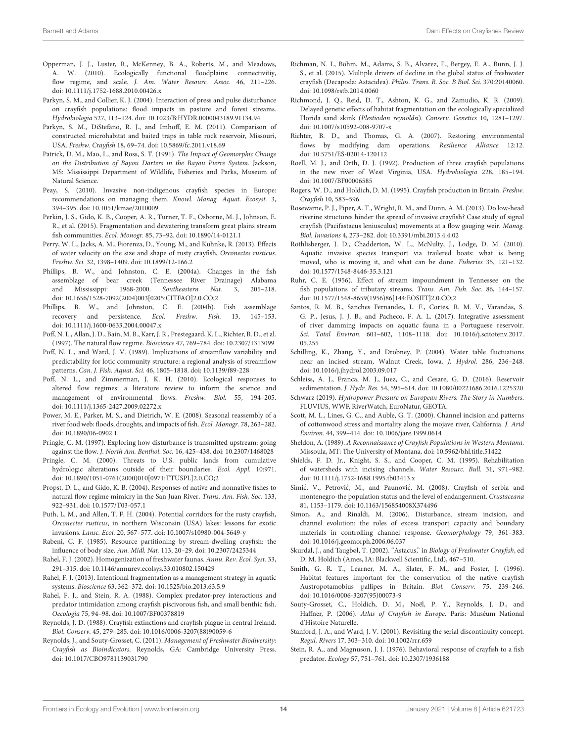- <span id="page-13-41"></span>Opperman, J. J., Luster, R., McKenney, B. A., Roberts, M., and Meadows, A. W. (2010). Ecologically functional floodplains: connectivitiy, flow regime, and scale. J. Am. Water Resourc. Assoc. 46, 211-226. doi: [10.1111/j.1752-1688.2010.00426.x](https://doi.org/10.1111/j.1752-1688.2010.00426.x)
- <span id="page-13-37"></span>Parkyn, S. M., and Collier, K. J. (2004). Interaction of press and pulse disturbance on crayfish populations: flood impacts in pasture and forest streams. Hydrobiologia 527, 113–124. doi: [10.1023/B:HYDR.0000043189.91134.94](https://doi.org/10.1023/B:HYDR.0000043189.91134.94)
- <span id="page-13-13"></span>Parkyn, S. M., DiStefano, R. J., and Imhoff, E. M. (2011). Comparison of constructed microhabitat and baited traps in table rock reservoir, Missouri, USA. Freshw. Crayfish 18, 69–74. doi: [10.5869/fc.2011.v18.69](https://doi.org/10.5869/fc.2011.v18.69)
- <span id="page-13-42"></span>Patrick, D. M., Mao, L., and Ross, S. T. (1991). The Impact of Geomorphic Change on the Distribution of Bayou Darters in the Bayou Pierre System. Jackson, MS: Mississippi Department of Wildlife, Fisheries and Parks, Museum of Natural Science.
- <span id="page-13-40"></span>Peay, S. (2010). Invasive non-indigenous crayfish species in Europe: recommendations on managing them. Knowl. Manag. Aquat. Ecosyst. 3, 394–395. doi: [10.1051/kmae/2010009](https://doi.org/10.1051/kmae/2010009)
- <span id="page-13-20"></span>Perkin, J. S., Gido, K. B., Cooper, A. R., Turner, T. F., Osborne, M. J., Johnson, E. R., et al. (2015). Fragmentation and dewatering transform great plains stream fish communities. Ecol. Monogr. 85, 73–92. doi: [10.1890/14-0121.1](https://doi.org/10.1890/14-0121.1)
- <span id="page-13-29"></span>Perry, W. L., Jacks, A. M., Fiorenza, D., Young, M., and Kuhnke, R. (2013). Effects of water velocity on the size and shape of rusty crayfish, Orconectes rusticus. Freshw. Sci. 32, 1398–1409. doi: [10.1899/12-166.2](https://doi.org/10.1899/12-166.2)
- <span id="page-13-30"></span>Phillips, B. W., and Johnston, C. E. (2004a). Changes in the fish assemblage of bear creek (Tennessee River Drainage) Alabama and Mississippi: 1968-2000. Southeastern Nat. 3, 205–218. doi: [10.1656/1528-7092\(2004\)003\[0205:CITFAO\]2.0.CO;2](https://doi.org/10.1656/1528-7092(2004)003[0205:CITFAO]2.0.CO;2)
- <span id="page-13-21"></span>Phillips, B. W., and Johnston, C. E. (2004b). Fish assemblage recovery and persistence. Ecol. Freshw. Fish. 13, 145–153. doi: [10.1111/j.1600-0633.2004.00047.x](https://doi.org/10.1111/j.1600-0633.2004.00047.x)
- <span id="page-13-0"></span>Poff, N. L., Allan, J. D., Bain, M. B., Karr, J. R., Prestegaard, K. L., Richter, B. D., et al. (1997). The natural flow regime. Bioscience 47, 769–784. doi: [10.2307/1313099](https://doi.org/10.2307/1313099)
- <span id="page-13-26"></span>Poff, N. L., and Ward, J. V. (1989). Implications of streamflow variability and predictability for lotic community structure: a regional analysis of streamflow patterns. Can. J. Fish. Aquat. Sci. 46, 1805–1818. doi: [10.1139/f89-228](https://doi.org/10.1139/f89-228)
- <span id="page-13-5"></span>Poff, N. L., and Zimmerman, J. K. H. (2010). Ecological responses to altered flow regimes: a literature review to inform the science and management of environmental flows. Freshw. Biol. 55, 194–205. doi: [10.1111/j.1365-2427.2009.02272.x](https://doi.org/10.1111/j.1365-2427.2009.02272.x)
- <span id="page-13-27"></span>Power, M. E., Parker, M. S., and Dietrich, W. E. (2008). Seasonal reassembly of a river food web: floods, droughts, and impacts of fish. Ecol. Monogr. 78, 263–282. doi: [10.1890/06-0902.1](https://doi.org/10.1890/06-0902.1)
- <span id="page-13-31"></span>Pringle, C. M. (1997). Exploring how disturbance is transmitted upstream: going against the flow. J. North Am. Benthol. Soc. 16, 425–438. doi: [10.2307/1468028](https://doi.org/10.2307/1468028)
- <span id="page-13-17"></span>Pringle, C. M. (2000). Threats to U.S. public lands from cumulative hydrologic alterations outside of their boundaries. Ecol. Appl. 10:971. doi: [10.1890/1051-0761\(2000\)010\[0971:TTUSPL\]2.0.CO;2](https://doi.org/10.1890/1051-0761(2000)010[0971:TTUSPL]2.0.CO;2)
- <span id="page-13-44"></span>Propst, D. L., and Gido, K. B. (2004). Responses of native and nonnative fishes to natural flow regime mimicry in the San Juan River. Trans. Am. Fish. Soc. 133, 922–931. doi: [10.1577/T03-057.1](https://doi.org/10.1577/T03-057.1)
- <span id="page-13-8"></span>Puth, L. M., and Allen, T. F. H. (2004). Potential corridors for the rusty crayfish, Orconectes rusticus, in northern Wisconsin (USA) lakes: lessons for exotic invasions. Lansc. Ecol. 20, 567–577. doi: [10.1007/s10980-004-5649-y](https://doi.org/10.1007/s10980-004-5649-y)
- <span id="page-13-33"></span>Rabeni, C. F. (1985). Resource partitioning by stream-dwelling crayfish: the influence of body size. Am. Midl. Nat. 113, 20–29. doi: [10.2307/2425344](https://doi.org/10.2307/2425344)
- <span id="page-13-28"></span>Rahel, F. J. (2002). Homogenization of freshwater faunas. Annu. Rev. Ecol. Syst. 33, 291–315. doi: [10.1146/annurev.ecolsys.33.010802.150429](https://doi.org/10.1146/annurev.ecolsys.33.010802.150429)
- <span id="page-13-10"></span>Rahel, F. J. (2013). Intentional fragmentation as a management strategy in aquatic systems. Bioscience 63, 362–372. doi: [10.1525/bio.2013.63.5.9](https://doi.org/10.1525/bio.2013.63.5.9)
- <span id="page-13-35"></span>Rahel, F. J., and Stein, R. A. (1988). Complex predator-prey interactions and predator intimidation among crayfish piscivorous fish, and small benthic fish. Oecologia 75, 94–98. doi: [10.1007/BF00378819](https://doi.org/10.1007/BF00378819)
- <span id="page-13-4"></span>Reynolds, J. D. (1988). Crayfish extinctions and crayfish plague in central Ireland. Biol. Conserv. 45, 279–285. doi: [10.1016/0006-3207\(88\)90059-6](https://doi.org/10.1016/0006-3207(88)90059-6)
- <span id="page-13-38"></span>Reynolds, J., and Souty-Grosset, C. (2011). Management of Freshwater Biodiversity: Crayfish as Bioindicators. Reynolds, GA: Cambridge University Press. doi: [10.1017/CBO9781139031790](https://doi.org/10.1017/CBO9781139031790)
- <span id="page-13-3"></span>Richman, N. I., Böhm, M., Adams, S. B., Alvarez, F., Bergey, E. A., Bunn, J. J. S., et al. (2015). Multiple drivers of decline in the global status of freshwater crayfish (Decapoda: Astacidea). Philos. Trans. R. Soc. B Biol. Sci. 370:20140060. doi: [10.1098/rstb.2014.0060](https://doi.org/10.1098/rstb.2014.0060)
- <span id="page-13-18"></span>Richmond, J. Q., Reid, D. T., Ashton, K. G., and Zamudio, K. R. (2009). Delayed genetic effects of habitat fragmentation on the ecologically specialized Florida sand skink (Plestiodon reynoldsi). Conserv. Genetics 10, 1281–1297. doi: [10.1007/s10592-008-9707-x](https://doi.org/10.1007/s10592-008-9707-x)
- <span id="page-13-19"></span>Richter, B. D., and Thomas, G. A. (2007). Restoring environmental flows by modifying dam operations. Resilience Alliance 12:12. doi: [10.5751/ES-02014-120112](https://doi.org/10.5751/ES-02014-120112)
- <span id="page-13-6"></span>Roell, M. J., and Orth, D. J. (1992). Production of three crayfish populations in the new river of West Virginia, USA. Hydrobiologia 228, 185–194. doi: [10.1007/BF00006585](https://doi.org/10.1007/BF00006585)
- <span id="page-13-7"></span>Rogers, W. D., and Holdich, D. M. (1995). Crayfish production in Britain. Freshw. Crayfish 10, 583–596.
- <span id="page-13-11"></span>Rosewarne, P. J., Piper, A. T., Wright, R. M., and Dunn, A. M. (2013). Do low-head riverine structures hinder the spread of invasive crayfish? Case study of signal crayfish (Pacifastacus leniusculus) movements at a flow gauging weir. Manag. Biol. Invasions 4, 273–282. doi: [10.3391/mbi.2013.4.4.02](https://doi.org/10.3391/mbi.2013.4.4.02)
- <span id="page-13-16"></span>Rothlisberger, J. D., Chadderton, W. L., McNulty, J., Lodge, D. M. (2010). Aquatic invasive species transport via trailered boats: what is being moved, who is moving it, and what can be done. Fisheries 35, 121–132. doi: [10.1577/1548-8446-35.3.121](https://doi.org/10.1577/1548-8446-35.3.121)
- <span id="page-13-32"></span>Ruhr, C. E. (1956). Effect of stream impoundment in Tennessee on the fish populations of tributary streams. Trans. Am. Fish. Soc. 86, 144–157. doi: [10.1577/1548-8659\(1956\)86\[144:EOSIIT\]2.0.CO;2](https://doi.org/10.1577/1548-8659(1956)86[144:EOSIIT]2.0.CO;2)
- <span id="page-13-14"></span>Santos, R. M. B., Sanches Fernandes, L. F., Cortes, R. M. V., Varandas, S. G. P., Jesus, J. J. B., and Pacheco, F. A. L. (2017). Integrative assessment of river damming impacts on aquatic fauna in a Portuguese reservoir. Sci. Total Environ. [601–602, 1108–1118. doi: 10.1016/j.scitotenv.2017.](https://doi.org/10.1016/j.scitotenv.2017.05.255) 05.255
- <span id="page-13-24"></span>Schilling, K., Zhang, Y., and Drobney, P. (2004). Water table fluctuations near an incised stream, Walnut Creek, Iowa. J. Hydrol. 286, 236–248. doi: [10.1016/j.jhydrol.2003.09.017](https://doi.org/10.1016/j.jhydrol.2003.09.017)
- <span id="page-13-15"></span>Schleiss, A. J., Franca, M. J., Juez, C., and Cesare, G. D. (2016). Reservoir sedimentation. J. Hydr. Res. 54, 595–614. doi: [10.1080/00221686.2016.1225320](https://doi.org/10.1080/00221686.2016.1225320)
- <span id="page-13-2"></span>Schwarz (2019). Hydropower Pressure on European Rivers: The Story in Numbers. FLUVIUS, WWF, RiverWatch, EuroNatur, GEOTA.
- <span id="page-13-23"></span>Scott, M. L., Lines, G. C., and Auble, G. T. (2000). Channel incision and patterns of cottonwood stress and mortality along the mojave river, California. J. Arid Environ. 44, 399–414. doi: [10.1006/jare.1999.0614](https://doi.org/10.1006/jare.1999.0614)
- <span id="page-13-12"></span>Sheldon, A. (1989). A Reconnaissance of Crayfish Populations in Western Montana. Missoula, MT: The University of Montana. doi: [10.5962/bhl.title.51422](https://doi.org/10.5962/bhl.title.51422)
- <span id="page-13-43"></span>Shields, F. D. Jr., Knight, S. S., and Cooper, C. M. (1995). Rehabilitation of watersheds with incising channels. Water Resourc. Bull. 31, 971–982. doi: [10.1111/j.1752-1688.1995.tb03413.x](https://doi.org/10.1111/j.1752-1688.1995.tb03413.x)
- <span id="page-13-9"></span>Simić, V., Petrović, M., and Paunović, M. (2008). Crayfish of serbia and montenegro-the population status and the level of endangerment. Crustaceana 81, 1153–1179. doi: [10.1163/156854008X374496](https://doi.org/10.1163/156854008X374496)
- <span id="page-13-22"></span>Simon, A., and Rinaldi, M. (2006). Disturbance, stream incision, and channel evolution: the roles of excess transport capacity and boundary materials in controlling channel response. Geomorphology 79, 361–383. doi: [10.1016/j.geomorph.2006.06.037](https://doi.org/10.1016/j.geomorph.2006.06.037)
- <span id="page-13-39"></span>Skurdal, J., and Taugbøl, T. (2002). "Astacus," in Biology of Freshwater Crayfish, ed D. M. Holdich (Ames, IA: Blackwell Scientific, Ltd), 467–510.
- <span id="page-13-36"></span>Smith, G. R. T., Learner, M. A., Slater, F. M., and Foster, J. (1996). Habitat features important for the conservation of the native crayfish Austropotamobius pallipes in Britain. Biol. Conserv. 75, 239–246. doi: [10.1016/0006-3207\(95\)00073-9](https://doi.org/10.1016/0006-3207(95)00073-9)
- <span id="page-13-25"></span>Souty-Grosset, C., Holdich, D. M., Noël, P. Y., Reynolds, J. D., and Haffner, P. (2006). Atlas of Crayfish in Europe. Paris: Muséum National d'Histoire Naturelle.
- <span id="page-13-1"></span>Stanford, J. A., and Ward, J. V. (2001). Revisiting the serial discontinuity concept. Regul. Rivers 17, 303–310. doi: [10.1002/rrr.659](https://doi.org/10.1002/rrr.659)
- <span id="page-13-34"></span>Stein, R. A., and Magnuson, J. J. (1976). Behavioral response of crayfish to a fish predator. Ecology 57, 751–761. doi: [10.2307/1936188](https://doi.org/10.2307/1936188)